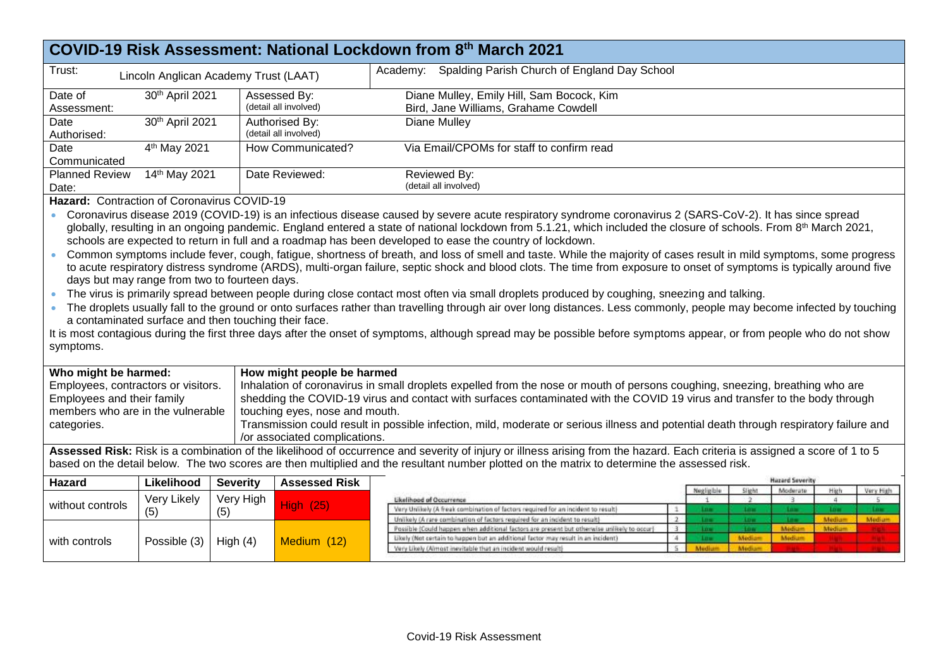|                                                                                                                                                                                                                                                                                                                                                                                                                                                                                                                                                                                                                                                                                                                                                                                                                                                                                                                                                                                                                                                                                                                                                                                                                                                                                                                                                                                                                                                                               |                                       |                  |                                                                | COVID-19 Risk Assessment: National Lockdown from 8th March 2021                                                                                                                                                                                                                                                                                                                                                                                   |  |  |
|-------------------------------------------------------------------------------------------------------------------------------------------------------------------------------------------------------------------------------------------------------------------------------------------------------------------------------------------------------------------------------------------------------------------------------------------------------------------------------------------------------------------------------------------------------------------------------------------------------------------------------------------------------------------------------------------------------------------------------------------------------------------------------------------------------------------------------------------------------------------------------------------------------------------------------------------------------------------------------------------------------------------------------------------------------------------------------------------------------------------------------------------------------------------------------------------------------------------------------------------------------------------------------------------------------------------------------------------------------------------------------------------------------------------------------------------------------------------------------|---------------------------------------|------------------|----------------------------------------------------------------|---------------------------------------------------------------------------------------------------------------------------------------------------------------------------------------------------------------------------------------------------------------------------------------------------------------------------------------------------------------------------------------------------------------------------------------------------|--|--|
| Trust:                                                                                                                                                                                                                                                                                                                                                                                                                                                                                                                                                                                                                                                                                                                                                                                                                                                                                                                                                                                                                                                                                                                                                                                                                                                                                                                                                                                                                                                                        | Lincoln Anglican Academy Trust (LAAT) |                  |                                                                | Academy: Spalding Parish Church of England Day School                                                                                                                                                                                                                                                                                                                                                                                             |  |  |
| Date of<br>Assessment:                                                                                                                                                                                                                                                                                                                                                                                                                                                                                                                                                                                                                                                                                                                                                                                                                                                                                                                                                                                                                                                                                                                                                                                                                                                                                                                                                                                                                                                        | 30th April 2021                       |                  | Assessed By:<br>(detail all involved)                          | Diane Mulley, Emily Hill, Sam Bocock, Kim<br>Bird, Jane Williams, Grahame Cowdell                                                                                                                                                                                                                                                                                                                                                                 |  |  |
| Date<br>Authorised:                                                                                                                                                                                                                                                                                                                                                                                                                                                                                                                                                                                                                                                                                                                                                                                                                                                                                                                                                                                                                                                                                                                                                                                                                                                                                                                                                                                                                                                           | 30th April 2021                       |                  | Authorised By:<br>Diane Mulley<br>(detail all involved)        |                                                                                                                                                                                                                                                                                                                                                                                                                                                   |  |  |
| Date<br>Communicated                                                                                                                                                                                                                                                                                                                                                                                                                                                                                                                                                                                                                                                                                                                                                                                                                                                                                                                                                                                                                                                                                                                                                                                                                                                                                                                                                                                                                                                          | 4 <sup>th</sup> May 2021              |                  | Via Email/CPOMs for staff to confirm read<br>How Communicated? |                                                                                                                                                                                                                                                                                                                                                                                                                                                   |  |  |
| <b>Planned Review</b><br>Date:                                                                                                                                                                                                                                                                                                                                                                                                                                                                                                                                                                                                                                                                                                                                                                                                                                                                                                                                                                                                                                                                                                                                                                                                                                                                                                                                                                                                                                                | 14th May 2021                         |                  | Date Reviewed:<br>Reviewed By:<br>(detail all involved)        |                                                                                                                                                                                                                                                                                                                                                                                                                                                   |  |  |
| Hazard: Contraction of Coronavirus COVID-19<br>Coronavirus disease 2019 (COVID-19) is an infectious disease caused by severe acute respiratory syndrome coronavirus 2 (SARS-CoV-2). It has since spread<br>globally, resulting in an ongoing pandemic. England entered a state of national lockdown from 5.1.21, which included the closure of schools. From 8 <sup>th</sup> March 2021,<br>schools are expected to return in full and a roadmap has been developed to ease the country of lockdown.<br>Common symptoms include fever, cough, fatigue, shortness of breath, and loss of smell and taste. While the majority of cases result in mild symptoms, some progress<br>to acute respiratory distress syndrome (ARDS), multi-organ failure, septic shock and blood clots. The time from exposure to onset of symptoms is typically around five<br>days but may range from two to fourteen days.<br>The virus is primarily spread between people during close contact most often via small droplets produced by coughing, sneezing and talking.<br>The droplets usually fall to the ground or onto surfaces rather than travelling through air over long distances. Less commonly, people may become infected by touching<br>a contaminated surface and then touching their face.<br>It is most contagious during the first three days after the onset of symptoms, although spread may be possible before symptoms appear, or from people who do not show<br>symptoms. |                                       |                  |                                                                |                                                                                                                                                                                                                                                                                                                                                                                                                                                   |  |  |
| Who might be harmed:<br>How might people be harmed<br>Inhalation of coronavirus in small droplets expelled from the nose or mouth of persons coughing, sneezing, breathing who are<br>Employees, contractors or visitors.<br>Employees and their family<br>shedding the COVID-19 virus and contact with surfaces contaminated with the COVID 19 virus and transfer to the body through<br>members who are in the vulnerable<br>touching eyes, nose and mouth.<br>Transmission could result in possible infection, mild, moderate or serious illness and potential death through respiratory failure and<br>categories.<br>/or associated complications.                                                                                                                                                                                                                                                                                                                                                                                                                                                                                                                                                                                                                                                                                                                                                                                                                       |                                       |                  |                                                                |                                                                                                                                                                                                                                                                                                                                                                                                                                                   |  |  |
|                                                                                                                                                                                                                                                                                                                                                                                                                                                                                                                                                                                                                                                                                                                                                                                                                                                                                                                                                                                                                                                                                                                                                                                                                                                                                                                                                                                                                                                                               |                                       |                  |                                                                | Assessed Risk: Risk is a combination of the likelihood of occurrence and severity of injury or illness arising from the hazard. Each criteria is assigned a score of 1 to 5<br>based on the detail below. The two scores are then multiplied and the resultant number plotted on the matrix to determine the assessed risk.                                                                                                                       |  |  |
| <b>Hazard</b>                                                                                                                                                                                                                                                                                                                                                                                                                                                                                                                                                                                                                                                                                                                                                                                                                                                                                                                                                                                                                                                                                                                                                                                                                                                                                                                                                                                                                                                                 | Likelihood                            | <b>Severity</b>  | <b>Assessed Risk</b>                                           | <b>Hazard Severity</b>                                                                                                                                                                                                                                                                                                                                                                                                                            |  |  |
| without controls                                                                                                                                                                                                                                                                                                                                                                                                                                                                                                                                                                                                                                                                                                                                                                                                                                                                                                                                                                                                                                                                                                                                                                                                                                                                                                                                                                                                                                                              | Very Likely<br>(5)                    | Very High<br>(5) | <b>High (25)</b>                                               | Slight<br>Moderate<br>High<br>Negligible<br>Very High<br>4<br>Likelihood of Occurrence<br>$\overline{2}$<br>-3<br>5<br>Very Unitorly (A freak combination of factors required for an incident to result)<br><b>Los</b><br><b>Low</b><br><b>Low</b><br>$\mathcal{I}$<br><b>Low</b><br><b>Links</b><br>Unilicely (A rare combination of factors required for an incident to result)<br>$\mathbf{2}$<br>Mediam<br>Medium<br><b>Low</b><br><b>Low</b> |  |  |
| with controls                                                                                                                                                                                                                                                                                                                                                                                                                                                                                                                                                                                                                                                                                                                                                                                                                                                                                                                                                                                                                                                                                                                                                                                                                                                                                                                                                                                                                                                                 | Possible (3)                          | High $(4)$       | Medium (12)                                                    | $-1.01$<br>Possible (Could happen when additional factors are present but otherwise unlikely to occur)<br>Medium<br>Medium<br>$\mathcal{X}$<br><b>Line</b><br>100<br>$\overline{4}$<br>Media<br>Medium<br>Likely (Not certain to happen but an additional factor may result in an incident)<br>Low<br>Very Likely (Almost inevitable that an incident would result)<br>$5 -$<br>Medium<br>Media                                                   |  |  |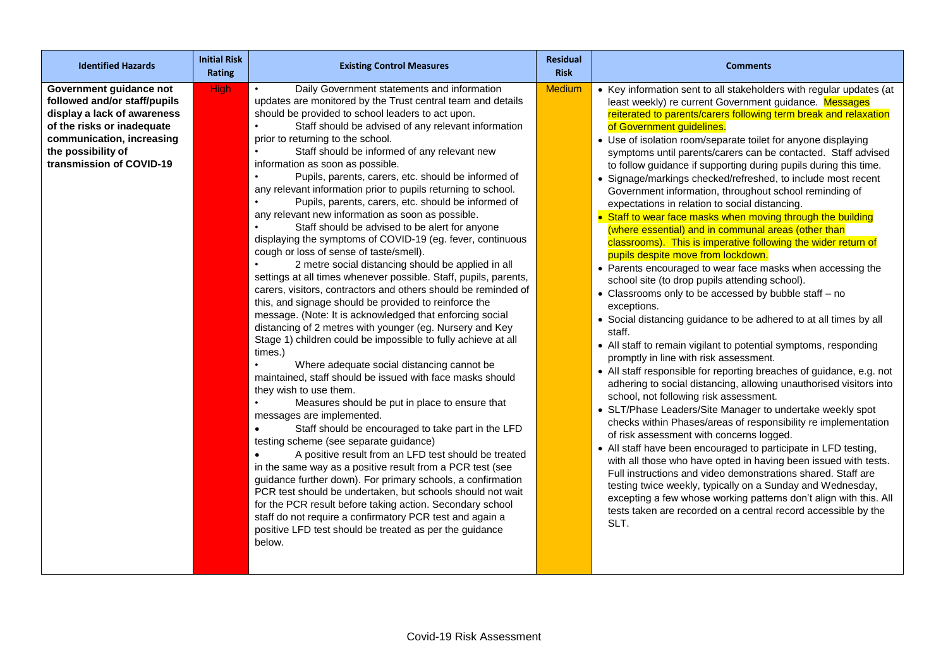| <b>Identified Hazards</b>                                                                                                                                                                           | <b>Initial Risk</b><br>Rating | <b>Existing Control Measures</b>                                                                                                                                                                                                                                                                                                                                                                                                                                                                                                                                                                                                                                                                                                                                                                                                                                                                                                                                                                                                                                                                                                                                                                                                                                                                                                                                                                                                                                                                                                                                                                                                                                                                                                                                                                                                                                                                                                                                                         | <b>Residual</b><br><b>Risk</b> | <b>Comments</b>                                                                                                                                                                                                                                                                                                                                                                                                                                                                                                                                                                                                                                                                                                                                                                                                                                                                                                                                                                                                                                                                                                                                                                                                                                                                                                                                                                                                                                                                                                                                                                                                                                                                                                                                                                                                                                                                                                                                                                                                          |
|-----------------------------------------------------------------------------------------------------------------------------------------------------------------------------------------------------|-------------------------------|------------------------------------------------------------------------------------------------------------------------------------------------------------------------------------------------------------------------------------------------------------------------------------------------------------------------------------------------------------------------------------------------------------------------------------------------------------------------------------------------------------------------------------------------------------------------------------------------------------------------------------------------------------------------------------------------------------------------------------------------------------------------------------------------------------------------------------------------------------------------------------------------------------------------------------------------------------------------------------------------------------------------------------------------------------------------------------------------------------------------------------------------------------------------------------------------------------------------------------------------------------------------------------------------------------------------------------------------------------------------------------------------------------------------------------------------------------------------------------------------------------------------------------------------------------------------------------------------------------------------------------------------------------------------------------------------------------------------------------------------------------------------------------------------------------------------------------------------------------------------------------------------------------------------------------------------------------------------------------------|--------------------------------|--------------------------------------------------------------------------------------------------------------------------------------------------------------------------------------------------------------------------------------------------------------------------------------------------------------------------------------------------------------------------------------------------------------------------------------------------------------------------------------------------------------------------------------------------------------------------------------------------------------------------------------------------------------------------------------------------------------------------------------------------------------------------------------------------------------------------------------------------------------------------------------------------------------------------------------------------------------------------------------------------------------------------------------------------------------------------------------------------------------------------------------------------------------------------------------------------------------------------------------------------------------------------------------------------------------------------------------------------------------------------------------------------------------------------------------------------------------------------------------------------------------------------------------------------------------------------------------------------------------------------------------------------------------------------------------------------------------------------------------------------------------------------------------------------------------------------------------------------------------------------------------------------------------------------------------------------------------------------------------------------------------------------|
| Government guidance not<br>followed and/or staff/pupils<br>display a lack of awareness<br>of the risks or inadequate<br>communication, increasing<br>the possibility of<br>transmission of COVID-19 | <b>High</b>                   | Daily Government statements and information<br>updates are monitored by the Trust central team and details<br>should be provided to school leaders to act upon.<br>Staff should be advised of any relevant information<br>prior to returning to the school.<br>Staff should be informed of any relevant new<br>information as soon as possible.<br>Pupils, parents, carers, etc. should be informed of<br>any relevant information prior to pupils returning to school.<br>Pupils, parents, carers, etc. should be informed of<br>any relevant new information as soon as possible.<br>Staff should be advised to be alert for anyone<br>displaying the symptoms of COVID-19 (eg. fever, continuous<br>cough or loss of sense of taste/smell).<br>2 metre social distancing should be applied in all<br>settings at all times whenever possible. Staff, pupils, parents,<br>carers, visitors, contractors and others should be reminded of<br>this, and signage should be provided to reinforce the<br>message. (Note: It is acknowledged that enforcing social<br>distancing of 2 metres with younger (eg. Nursery and Key<br>Stage 1) children could be impossible to fully achieve at all<br>times.)<br>Where adequate social distancing cannot be<br>maintained, staff should be issued with face masks should<br>they wish to use them.<br>Measures should be put in place to ensure that<br>messages are implemented.<br>Staff should be encouraged to take part in the LFD<br>testing scheme (see separate guidance)<br>A positive result from an LFD test should be treated<br>$\bullet$<br>in the same way as a positive result from a PCR test (see<br>guidance further down). For primary schools, a confirmation<br>PCR test should be undertaken, but schools should not wait<br>for the PCR result before taking action. Secondary school<br>staff do not require a confirmatory PCR test and again a<br>positive LFD test should be treated as per the guidance<br>below. | <b>Medium</b>                  | • Key information sent to all stakeholders with regular updates (at<br>least weekly) re current Government guidance. Messages<br>reiterated to parents/carers following term break and relaxation<br>of Government guidelines.<br>• Use of isolation room/separate toilet for anyone displaying<br>symptoms until parents/carers can be contacted. Staff advised<br>to follow guidance if supporting during pupils during this time.<br>• Signage/markings checked/refreshed, to include most recent<br>Government information, throughout school reminding of<br>expectations in relation to social distancing.<br>• Staff to wear face masks when moving through the building<br>(where essential) and in communal areas (other than<br>classrooms). This is imperative following the wider return of<br>pupils despite move from lockdown.<br>• Parents encouraged to wear face masks when accessing the<br>school site (to drop pupils attending school).<br>• Classrooms only to be accessed by bubble staff - no<br>exceptions.<br>• Social distancing guidance to be adhered to at all times by all<br>staff.<br>• All staff to remain vigilant to potential symptoms, responding<br>promptly in line with risk assessment.<br>• All staff responsible for reporting breaches of guidance, e.g. not<br>adhering to social distancing, allowing unauthorised visitors into<br>school, not following risk assessment.<br>• SLT/Phase Leaders/Site Manager to undertake weekly spot<br>checks within Phases/areas of responsibility re implementation<br>of risk assessment with concerns logged.<br>• All staff have been encouraged to participate in LFD testing,<br>with all those who have opted in having been issued with tests.<br>Full instructions and video demonstrations shared. Staff are<br>testing twice weekly, typically on a Sunday and Wednesday,<br>excepting a few whose working patterns don't align with this. All<br>tests taken are recorded on a central record accessible by the<br>SLT. |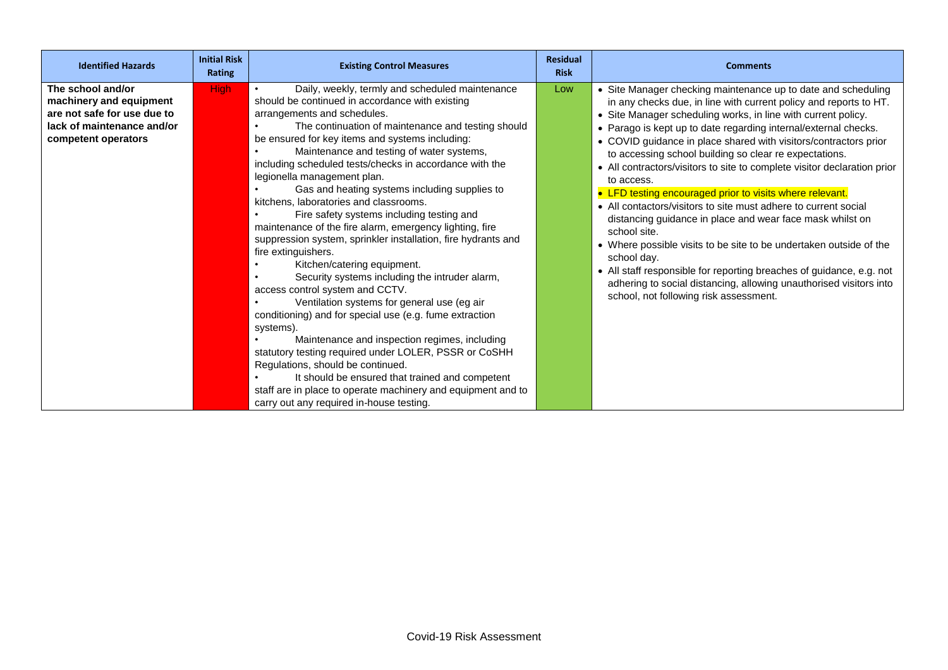| <b>Identified Hazards</b>                                                                                                        | <b>Initial Risk</b><br><b>Rating</b> | <b>Existing Control Measures</b>                                                                                                                                                                                                                                                                                                                                                                                                                                                                                                                                                                                                                                                                                                                                                                                                                                                                                                                                                                                                                                                                                                                                                                                                      | <b>Residual</b><br><b>Risk</b> | <b>Comments</b>                                                                                                                                                                                                                                                                                                                                                                                                                                                                                                                                                                                                                                                                                                                                                                                                                                                                                                                                                                         |
|----------------------------------------------------------------------------------------------------------------------------------|--------------------------------------|---------------------------------------------------------------------------------------------------------------------------------------------------------------------------------------------------------------------------------------------------------------------------------------------------------------------------------------------------------------------------------------------------------------------------------------------------------------------------------------------------------------------------------------------------------------------------------------------------------------------------------------------------------------------------------------------------------------------------------------------------------------------------------------------------------------------------------------------------------------------------------------------------------------------------------------------------------------------------------------------------------------------------------------------------------------------------------------------------------------------------------------------------------------------------------------------------------------------------------------|--------------------------------|-----------------------------------------------------------------------------------------------------------------------------------------------------------------------------------------------------------------------------------------------------------------------------------------------------------------------------------------------------------------------------------------------------------------------------------------------------------------------------------------------------------------------------------------------------------------------------------------------------------------------------------------------------------------------------------------------------------------------------------------------------------------------------------------------------------------------------------------------------------------------------------------------------------------------------------------------------------------------------------------|
| The school and/or<br>machinery and equipment<br>are not safe for use due to<br>lack of maintenance and/or<br>competent operators | <b>High</b>                          | Daily, weekly, termly and scheduled maintenance<br>should be continued in accordance with existing<br>arrangements and schedules.<br>The continuation of maintenance and testing should<br>be ensured for key items and systems including:<br>Maintenance and testing of water systems,<br>including scheduled tests/checks in accordance with the<br>legionella management plan.<br>Gas and heating systems including supplies to<br>kitchens, laboratories and classrooms.<br>Fire safety systems including testing and<br>maintenance of the fire alarm, emergency lighting, fire<br>suppression system, sprinkler installation, fire hydrants and<br>fire extinguishers.<br>Kitchen/catering equipment.<br>Security systems including the intruder alarm,<br>access control system and CCTV.<br>Ventilation systems for general use (eg air<br>conditioning) and for special use (e.g. fume extraction<br>systems).<br>Maintenance and inspection regimes, including<br>statutory testing required under LOLER, PSSR or CoSHH<br>Regulations, should be continued.<br>It should be ensured that trained and competent<br>staff are in place to operate machinery and equipment and to<br>carry out any required in-house testing. | Low                            | • Site Manager checking maintenance up to date and scheduling<br>in any checks due, in line with current policy and reports to HT.<br>• Site Manager scheduling works, in line with current policy.<br>• Parago is kept up to date regarding internal/external checks.<br>• COVID guidance in place shared with visitors/contractors prior<br>to accessing school building so clear re expectations.<br>• All contractors/visitors to site to complete visitor declaration prior<br>to access.<br>• LFD testing encouraged prior to visits where relevant.<br>• All contactors/visitors to site must adhere to current social<br>distancing guidance in place and wear face mask whilst on<br>school site.<br>• Where possible visits to be site to be undertaken outside of the<br>school day.<br>• All staff responsible for reporting breaches of guidance, e.g. not<br>adhering to social distancing, allowing unauthorised visitors into<br>school, not following risk assessment. |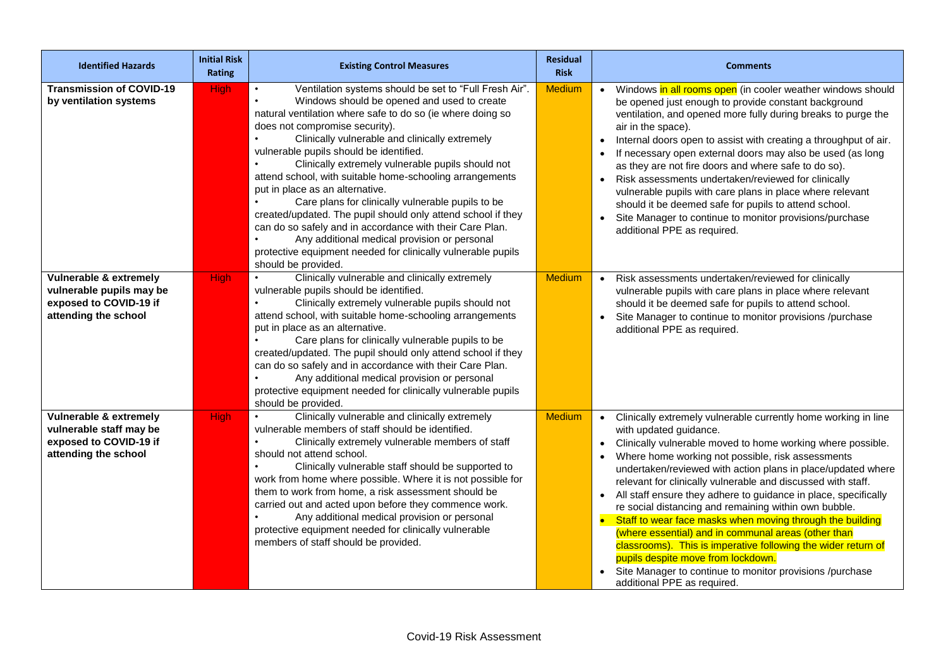| <b>Identified Hazards</b>                                                                            | <b>Initial Risk</b><br><b>Rating</b> | <b>Existing Control Measures</b>                                                                                                                                                                                                                                                                                                                                                                                                                                                                                                                                                                                                                                                                                                                                                                                                   | <b>Residual</b><br><b>Risk</b> | <b>Comments</b>                                                                                                                                                                                                                                                                                                                                                                                                                                                                                                                                                                                                                                                                                                                                                                                                 |
|------------------------------------------------------------------------------------------------------|--------------------------------------|------------------------------------------------------------------------------------------------------------------------------------------------------------------------------------------------------------------------------------------------------------------------------------------------------------------------------------------------------------------------------------------------------------------------------------------------------------------------------------------------------------------------------------------------------------------------------------------------------------------------------------------------------------------------------------------------------------------------------------------------------------------------------------------------------------------------------------|--------------------------------|-----------------------------------------------------------------------------------------------------------------------------------------------------------------------------------------------------------------------------------------------------------------------------------------------------------------------------------------------------------------------------------------------------------------------------------------------------------------------------------------------------------------------------------------------------------------------------------------------------------------------------------------------------------------------------------------------------------------------------------------------------------------------------------------------------------------|
| <b>Transmission of COVID-19</b><br>by ventilation systems                                            | <b>High</b>                          | Ventilation systems should be set to "Full Fresh Air".<br>$\bullet$<br>Windows should be opened and used to create<br>$\bullet$<br>natural ventilation where safe to do so (ie where doing so<br>does not compromise security).<br>$\bullet$<br>Clinically vulnerable and clinically extremely<br>vulnerable pupils should be identified.<br>Clinically extremely vulnerable pupils should not<br>attend school, with suitable home-schooling arrangements<br>put in place as an alternative.<br>Care plans for clinically vulnerable pupils to be<br>created/updated. The pupil should only attend school if they<br>can do so safely and in accordance with their Care Plan.<br>$\bullet$<br>Any additional medical provision or personal<br>protective equipment needed for clinically vulnerable pupils<br>should be provided. | <b>Medium</b>                  | • Windows in all rooms open (in cooler weather windows should<br>be opened just enough to provide constant background<br>ventilation, and opened more fully during breaks to purge the<br>air in the space).<br>Internal doors open to assist with creating a throughput of air.<br>$\bullet$<br>If necessary open external doors may also be used (as long<br>as they are not fire doors and where safe to do so).<br>Risk assessments undertaken/reviewed for clinically<br>vulnerable pupils with care plans in place where relevant<br>should it be deemed safe for pupils to attend school.<br>Site Manager to continue to monitor provisions/purchase<br>additional PPE as required.                                                                                                                      |
| Vulnerable & extremely<br>vulnerable pupils may be<br>exposed to COVID-19 if<br>attending the school | <b>High</b>                          | Clinically vulnerable and clinically extremely<br>$\bullet$<br>vulnerable pupils should be identified.<br>Clinically extremely vulnerable pupils should not<br>attend school, with suitable home-schooling arrangements<br>put in place as an alternative.<br>Care plans for clinically vulnerable pupils to be<br>$\bullet$<br>created/updated. The pupil should only attend school if they<br>can do so safely and in accordance with their Care Plan.<br>Any additional medical provision or personal<br>protective equipment needed for clinically vulnerable pupils<br>should be provided.                                                                                                                                                                                                                                    | <b>Medium</b>                  | Risk assessments undertaken/reviewed for clinically<br>$\bullet$<br>vulnerable pupils with care plans in place where relevant<br>should it be deemed safe for pupils to attend school.<br>Site Manager to continue to monitor provisions /purchase<br>additional PPE as required.                                                                                                                                                                                                                                                                                                                                                                                                                                                                                                                               |
| Vulnerable & extremely<br>vulnerable staff may be<br>exposed to COVID-19 if<br>attending the school  | <b>High</b>                          | Clinically vulnerable and clinically extremely<br>$\bullet$<br>vulnerable members of staff should be identified.<br>Clinically extremely vulnerable members of staff<br>$\bullet$<br>should not attend school.<br>$\bullet$<br>Clinically vulnerable staff should be supported to<br>work from home where possible. Where it is not possible for<br>them to work from home, a risk assessment should be<br>carried out and acted upon before they commence work.<br>$\bullet$<br>Any additional medical provision or personal<br>protective equipment needed for clinically vulnerable<br>members of staff should be provided.                                                                                                                                                                                                     | <b>Medium</b>                  | • Clinically extremely vulnerable currently home working in line<br>with updated guidance.<br>Clinically vulnerable moved to home working where possible.<br>Where home working not possible, risk assessments<br>undertaken/reviewed with action plans in place/updated where<br>relevant for clinically vulnerable and discussed with staff.<br>• All staff ensure they adhere to guidance in place, specifically<br>re social distancing and remaining within own bubble.<br>Staff to wear face masks when moving through the building<br>$\bullet$<br>(where essential) and in communal areas (other than<br>classrooms). This is imperative following the wider return of<br>pupils despite move from lockdown.<br>Site Manager to continue to monitor provisions /purchase<br>additional PPE as required. |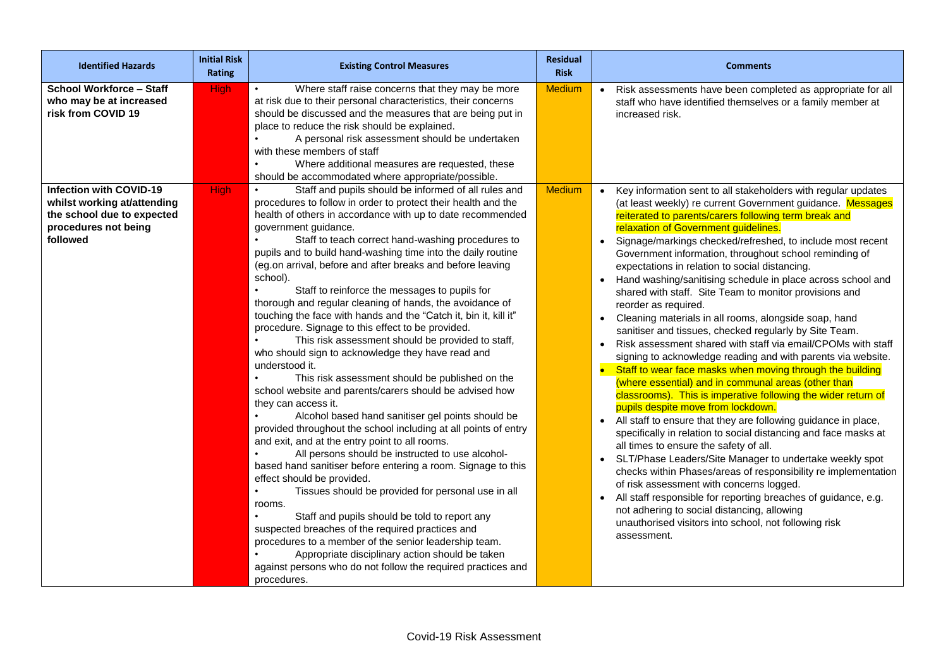| <b>Identified Hazards</b>                                                                                                                                                                        | <b>Initial Risk</b><br>Rating | <b>Existing Control Measures</b>                                                                                                                                                                                                                                                                                                                                                                                                                                                                                                                                                                                                                                                                                                                                                                                                                                                                                                                                                                                                                                                                                                                                                                                                                                                                                                                                                               | <b>Residual</b><br><b>Risk</b> | <b>Comments</b>                                                                                                                                                                                                                                                                                                                                                                                                                                                                                                                                                                                                                                                                                                                                                                                                                                                                                                                                                                                                                                                                                                                                                                                                                                                                                                                                                     |
|--------------------------------------------------------------------------------------------------------------------------------------------------------------------------------------------------|-------------------------------|------------------------------------------------------------------------------------------------------------------------------------------------------------------------------------------------------------------------------------------------------------------------------------------------------------------------------------------------------------------------------------------------------------------------------------------------------------------------------------------------------------------------------------------------------------------------------------------------------------------------------------------------------------------------------------------------------------------------------------------------------------------------------------------------------------------------------------------------------------------------------------------------------------------------------------------------------------------------------------------------------------------------------------------------------------------------------------------------------------------------------------------------------------------------------------------------------------------------------------------------------------------------------------------------------------------------------------------------------------------------------------------------|--------------------------------|---------------------------------------------------------------------------------------------------------------------------------------------------------------------------------------------------------------------------------------------------------------------------------------------------------------------------------------------------------------------------------------------------------------------------------------------------------------------------------------------------------------------------------------------------------------------------------------------------------------------------------------------------------------------------------------------------------------------------------------------------------------------------------------------------------------------------------------------------------------------------------------------------------------------------------------------------------------------------------------------------------------------------------------------------------------------------------------------------------------------------------------------------------------------------------------------------------------------------------------------------------------------------------------------------------------------------------------------------------------------|
| School Workforce - Staff<br>who may be at increased<br>risk from COVID 19<br><b>Infection with COVID-19</b><br>whilst working at/attending<br>the school due to expected<br>procedures not being | <b>High</b><br><b>High</b>    | Where staff raise concerns that they may be more<br>$\bullet$<br>at risk due to their personal characteristics, their concerns<br>should be discussed and the measures that are being put in<br>place to reduce the risk should be explained.<br>A personal risk assessment should be undertaken<br>with these members of staff<br>Where additional measures are requested, these<br>should be accommodated where appropriate/possible.<br>Staff and pupils should be informed of all rules and<br>procedures to follow in order to protect their health and the<br>health of others in accordance with up to date recommended<br>government guidance.                                                                                                                                                                                                                                                                                                                                                                                                                                                                                                                                                                                                                                                                                                                                         | <b>Medium</b><br><b>Medium</b> | Risk assessments have been completed as appropriate for all<br>staff who have identified themselves or a family member at<br>increased risk.<br>Key information sent to all stakeholders with regular updates<br>(at least weekly) re current Government guidance. Messages<br>reiterated to parents/carers following term break and<br>relaxation of Government guidelines.                                                                                                                                                                                                                                                                                                                                                                                                                                                                                                                                                                                                                                                                                                                                                                                                                                                                                                                                                                                        |
| followed                                                                                                                                                                                         |                               | Staff to teach correct hand-washing procedures to<br>pupils and to build hand-washing time into the daily routine<br>(eg.on arrival, before and after breaks and before leaving<br>school).<br>Staff to reinforce the messages to pupils for<br>thorough and regular cleaning of hands, the avoidance of<br>touching the face with hands and the "Catch it, bin it, kill it"<br>procedure. Signage to this effect to be provided.<br>This risk assessment should be provided to staff,<br>who should sign to acknowledge they have read and<br>understood it.<br>This risk assessment should be published on the<br>school website and parents/carers should be advised how<br>they can access it.<br>Alcohol based hand sanitiser gel points should be<br>provided throughout the school including at all points of entry<br>and exit, and at the entry point to all rooms.<br>All persons should be instructed to use alcohol-<br>based hand sanitiser before entering a room. Signage to this<br>effect should be provided.<br>Tissues should be provided for personal use in all<br>rooms.<br>Staff and pupils should be told to report any<br>suspected breaches of the required practices and<br>procedures to a member of the senior leadership team.<br>Appropriate disciplinary action should be taken<br>against persons who do not follow the required practices and<br>procedures. |                                | Signage/markings checked/refreshed, to include most recent<br>Government information, throughout school reminding of<br>expectations in relation to social distancing.<br>Hand washing/sanitising schedule in place across school and<br>shared with staff. Site Team to monitor provisions and<br>reorder as required.<br>Cleaning materials in all rooms, alongside soap, hand<br>sanitiser and tissues, checked regularly by Site Team.<br>Risk assessment shared with staff via email/CPOMs with staff<br>signing to acknowledge reading and with parents via website.<br>Staff to wear face masks when moving through the building<br>(where essential) and in communal areas (other than<br>classrooms). This is imperative following the wider return of<br>pupils despite move from lockdown.<br>All staff to ensure that they are following guidance in place,<br>specifically in relation to social distancing and face masks at<br>all times to ensure the safety of all.<br>SLT/Phase Leaders/Site Manager to undertake weekly spot<br>checks within Phases/areas of responsibility re implementation<br>of risk assessment with concerns logged.<br>All staff responsible for reporting breaches of guidance, e.g.<br>$\bullet$<br>not adhering to social distancing, allowing<br>unauthorised visitors into school, not following risk<br>assessment. |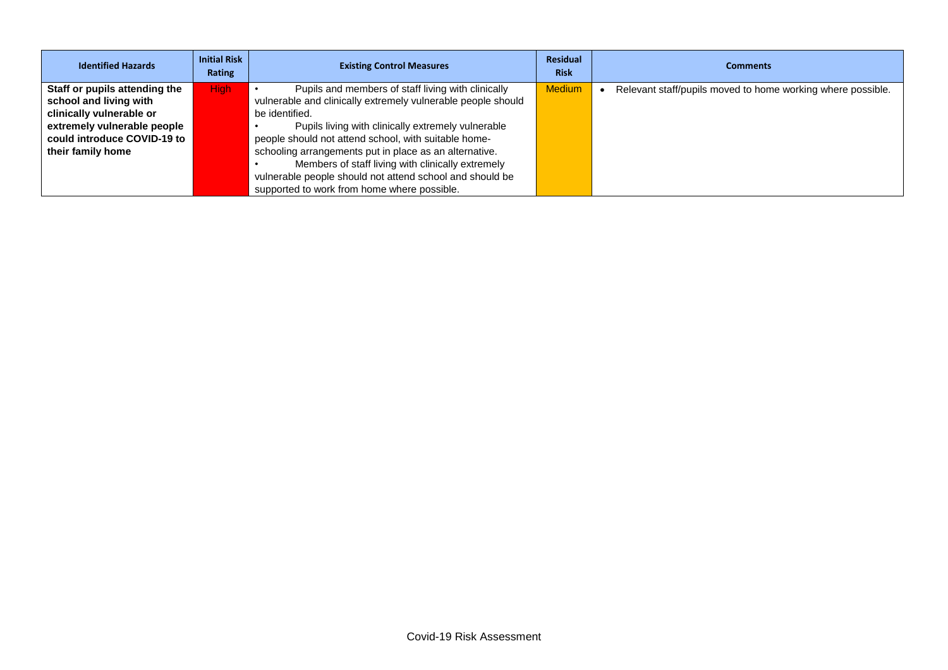| <b>Identified Hazards</b>     | <b>Initial Risk</b><br>Rating | <b>Existing Control Measures</b>                             | <b>Residual</b><br><b>Risk</b> | <b>Comments</b>                                             |
|-------------------------------|-------------------------------|--------------------------------------------------------------|--------------------------------|-------------------------------------------------------------|
| Staff or pupils attending the | High                          | Pupils and members of staff living with clinically           | <b>Medium</b>                  | Relevant staff/pupils moved to home working where possible. |
| school and living with        |                               | vulnerable and clinically extremely vulnerable people should |                                |                                                             |
| clinically vulnerable or      |                               | be identified.                                               |                                |                                                             |
| extremely vulnerable people   |                               | Pupils living with clinically extremely vulnerable           |                                |                                                             |
| could introduce COVID-19 to   |                               | people should not attend school, with suitable home-         |                                |                                                             |
| their family home             |                               | schooling arrangements put in place as an alternative.       |                                |                                                             |
|                               |                               | Members of staff living with clinically extremely            |                                |                                                             |
|                               |                               | vulnerable people should not attend school and should be     |                                |                                                             |
|                               |                               | supported to work from home where possible.                  |                                |                                                             |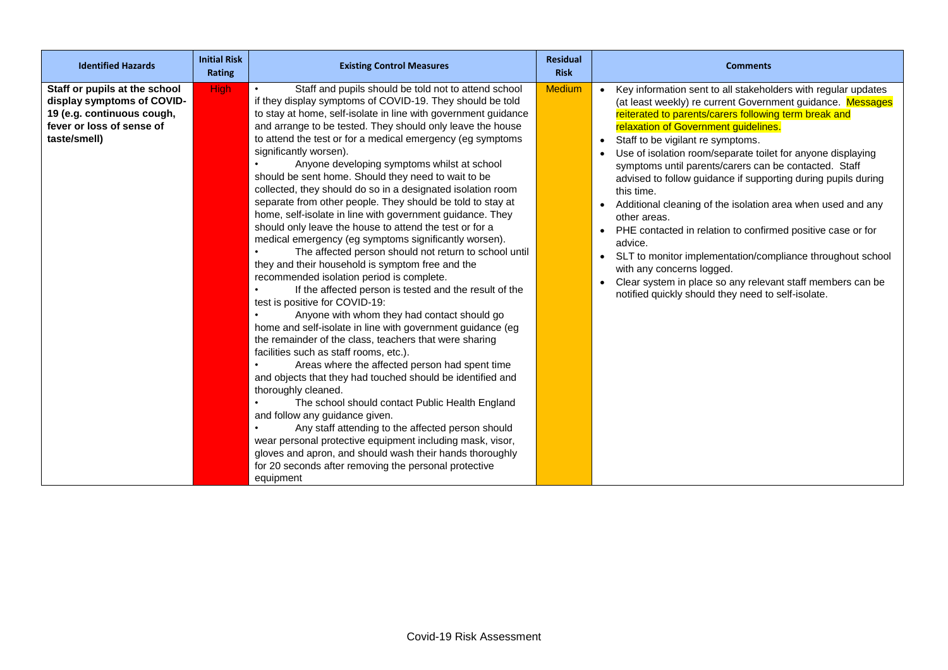| <b>Identified Hazards</b>                                                                                                              | <b>Initial Risk</b><br><b>Rating</b> | <b>Existing Control Measures</b>                                                                                                                                                                                                                                                                                                                                                                                                                                                                                                                                                                                                                                                                                                                                                                                                                                                                                                                                                                                                                                                                                                                                                                                                                                                                                                                                                                                                                                                                                                                                                                                                                                                                                     | <b>Residual</b><br><b>Risk</b> | <b>Comments</b>                                                                                                                                                                                                                                                                                                                                                                                                                                                                                                                                                                                                                                                                                                                                                                                                                                          |
|----------------------------------------------------------------------------------------------------------------------------------------|--------------------------------------|----------------------------------------------------------------------------------------------------------------------------------------------------------------------------------------------------------------------------------------------------------------------------------------------------------------------------------------------------------------------------------------------------------------------------------------------------------------------------------------------------------------------------------------------------------------------------------------------------------------------------------------------------------------------------------------------------------------------------------------------------------------------------------------------------------------------------------------------------------------------------------------------------------------------------------------------------------------------------------------------------------------------------------------------------------------------------------------------------------------------------------------------------------------------------------------------------------------------------------------------------------------------------------------------------------------------------------------------------------------------------------------------------------------------------------------------------------------------------------------------------------------------------------------------------------------------------------------------------------------------------------------------------------------------------------------------------------------------|--------------------------------|----------------------------------------------------------------------------------------------------------------------------------------------------------------------------------------------------------------------------------------------------------------------------------------------------------------------------------------------------------------------------------------------------------------------------------------------------------------------------------------------------------------------------------------------------------------------------------------------------------------------------------------------------------------------------------------------------------------------------------------------------------------------------------------------------------------------------------------------------------|
| Staff or pupils at the school<br>display symptoms of COVID-<br>19 (e.g. continuous cough,<br>fever or loss of sense of<br>taste/smell) | <b>High</b>                          | Staff and pupils should be told not to attend school<br>if they display symptoms of COVID-19. They should be told<br>to stay at home, self-isolate in line with government guidance<br>and arrange to be tested. They should only leave the house<br>to attend the test or for a medical emergency (eg symptoms<br>significantly worsen).<br>Anyone developing symptoms whilst at school<br>should be sent home. Should they need to wait to be<br>collected, they should do so in a designated isolation room<br>separate from other people. They should be told to stay at<br>home, self-isolate in line with government guidance. They<br>should only leave the house to attend the test or for a<br>medical emergency (eg symptoms significantly worsen).<br>The affected person should not return to school until<br>they and their household is symptom free and the<br>recommended isolation period is complete.<br>If the affected person is tested and the result of the<br>test is positive for COVID-19:<br>Anyone with whom they had contact should go<br>home and self-isolate in line with government guidance (eg<br>the remainder of the class, teachers that were sharing<br>facilities such as staff rooms, etc.).<br>Areas where the affected person had spent time<br>and objects that they had touched should be identified and<br>thoroughly cleaned.<br>The school should contact Public Health England<br>and follow any guidance given.<br>Any staff attending to the affected person should<br>wear personal protective equipment including mask, visor,<br>gloves and apron, and should wash their hands thoroughly<br>for 20 seconds after removing the personal protective<br>equipment | <b>Medium</b>                  | Key information sent to all stakeholders with regular updates<br>(at least weekly) re current Government guidance. Messages<br>reiterated to parents/carers following term break and<br>relaxation of Government guidelines.<br>• Staff to be vigilant re symptoms.<br>Use of isolation room/separate toilet for anyone displaying<br>symptoms until parents/carers can be contacted. Staff<br>advised to follow guidance if supporting during pupils during<br>this time.<br>• Additional cleaning of the isolation area when used and any<br>other areas.<br>PHE contacted in relation to confirmed positive case or for<br>advice.<br>• SLT to monitor implementation/compliance throughout school<br>with any concerns logged.<br>• Clear system in place so any relevant staff members can be<br>notified quickly should they need to self-isolate. |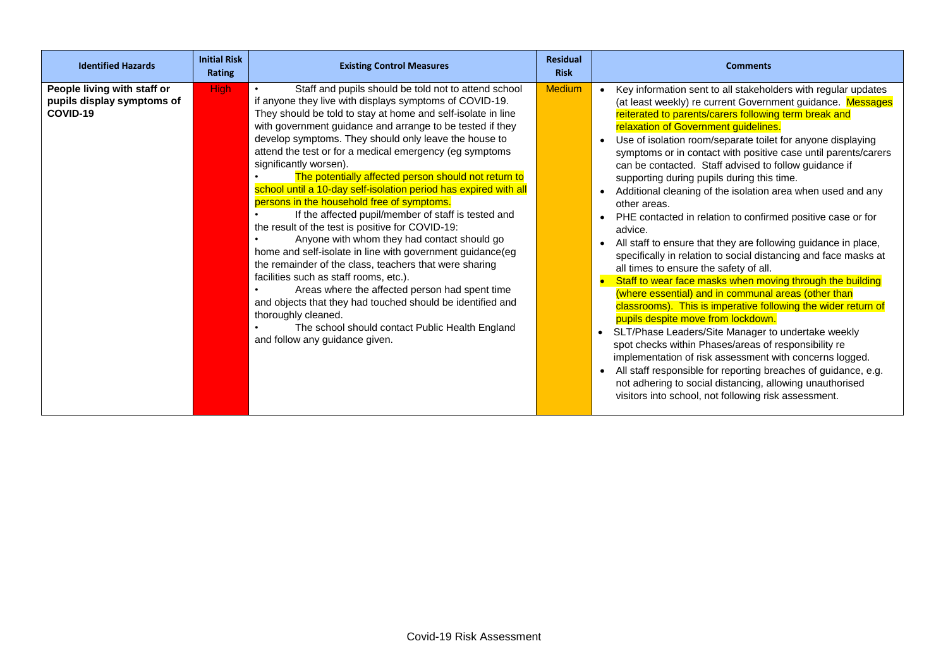| <b>Identified Hazards</b>                                             | <b>Initial Risk</b><br>Rating | <b>Existing Control Measures</b>                                                                                                                                                                                                                                                                                                                                                                                                                                                                                                                                                                                                                                                                                                                                                                                                                                                                                                                                                                                                                                                                                            | <b>Residual</b><br><b>Risk</b> | <b>Comments</b>                                                                                                                                                                                                                                                                                                                                                                                                                                                                                                                                                                                                                                                                                                                                                                                                                                                                                                                                                                                                                                                                                                                                                                                                                                                                                                                                                                                                                  |
|-----------------------------------------------------------------------|-------------------------------|-----------------------------------------------------------------------------------------------------------------------------------------------------------------------------------------------------------------------------------------------------------------------------------------------------------------------------------------------------------------------------------------------------------------------------------------------------------------------------------------------------------------------------------------------------------------------------------------------------------------------------------------------------------------------------------------------------------------------------------------------------------------------------------------------------------------------------------------------------------------------------------------------------------------------------------------------------------------------------------------------------------------------------------------------------------------------------------------------------------------------------|--------------------------------|----------------------------------------------------------------------------------------------------------------------------------------------------------------------------------------------------------------------------------------------------------------------------------------------------------------------------------------------------------------------------------------------------------------------------------------------------------------------------------------------------------------------------------------------------------------------------------------------------------------------------------------------------------------------------------------------------------------------------------------------------------------------------------------------------------------------------------------------------------------------------------------------------------------------------------------------------------------------------------------------------------------------------------------------------------------------------------------------------------------------------------------------------------------------------------------------------------------------------------------------------------------------------------------------------------------------------------------------------------------------------------------------------------------------------------|
| People living with staff or<br>pupils display symptoms of<br>COVID-19 | <b>High</b>                   | Staff and pupils should be told not to attend school<br>if anyone they live with displays symptoms of COVID-19.<br>They should be told to stay at home and self-isolate in line<br>with government guidance and arrange to be tested if they<br>develop symptoms. They should only leave the house to<br>attend the test or for a medical emergency (eg symptoms<br>significantly worsen).<br>The potentially affected person should not return to<br>school until a 10-day self-isolation period has expired with all<br>persons in the household free of symptoms.<br>If the affected pupil/member of staff is tested and<br>the result of the test is positive for COVID-19:<br>Anyone with whom they had contact should go<br>home and self-isolate in line with government guidance(eg<br>the remainder of the class, teachers that were sharing<br>facilities such as staff rooms, etc.).<br>Areas where the affected person had spent time<br>and objects that they had touched should be identified and<br>thoroughly cleaned.<br>The school should contact Public Health England<br>and follow any guidance given. | <b>Medium</b>                  | Key information sent to all stakeholders with regular updates<br>(at least weekly) re current Government guidance. Messages<br>reiterated to parents/carers following term break and<br>relaxation of Government guidelines.<br>Use of isolation room/separate toilet for anyone displaying<br>symptoms or in contact with positive case until parents/carers<br>can be contacted. Staff advised to follow guidance if<br>supporting during pupils during this time.<br>Additional cleaning of the isolation area when used and any<br>other areas.<br>PHE contacted in relation to confirmed positive case or for<br>advice.<br>All staff to ensure that they are following guidance in place,<br>specifically in relation to social distancing and face masks at<br>all times to ensure the safety of all.<br>Staff to wear face masks when moving through the building<br>(where essential) and in communal areas (other than<br>classrooms). This is imperative following the wider return of<br>pupils despite move from lockdown.<br>SLT/Phase Leaders/Site Manager to undertake weekly<br>$\bullet$<br>spot checks within Phases/areas of responsibility re<br>implementation of risk assessment with concerns logged.<br>All staff responsible for reporting breaches of guidance, e.g.<br>$\bullet$<br>not adhering to social distancing, allowing unauthorised<br>visitors into school, not following risk assessment. |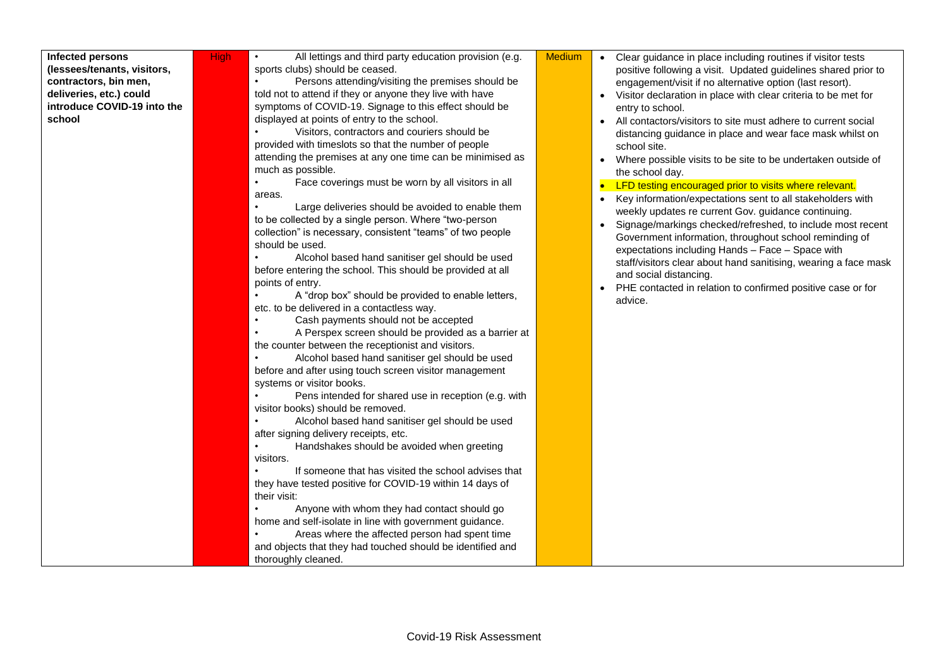| (lessees/tenants, visitors,<br>contractors, bin men, |
|------------------------------------------------------|
|                                                      |
|                                                      |
| deliveries, etc.) could                              |
| introduce COVID-19 into the                          |
| school                                               |

High • All lettings and third party education provision (e.g. sports clubs) should be ceased.

> Persons attending/visiting the premises should be told not to attend if they or anyone they live with have symptoms of COVID-19. Signage to this effect should be displayed at points of entry to the school.

• Visitors, contractors and couriers should be provided with timeslots so that the number of people attending the premises at any one time can be minimised as much as possible.

• Face coverings must be worn by all visitors in all areas.

Large deliveries should be avoided to enable them to be collected by a single person. Where "two-person collection" is necessary, consistent "teams" of two people should be used.

• Alcohol based hand sanitiser gel should be used before entering the school. This should be provided at all points of entry.

• A "drop box" should be provided to enable letters, etc. to be delivered in a contactless way.

Cash payments should not be accepted

• A Perspex screen should be provided as a barrier at the counter between the receptionist and visitors.

• Alcohol based hand sanitiser gel should be used before and after using touch screen visitor management systems or visitor books.

Pens intended for shared use in reception (e.g. with visitor books) should be removed.

Alcohol based hand sanitiser gel should be used after signing delivery receipts, etc.

• Handshakes should be avoided when greeting visitors.

If someone that has visited the school advises that they have tested positive for COVID-19 within 14 days of their visit:

• Anyone with whom they had contact should go home and self-isolate in line with government guidance.

• Areas where the affected person had spent time and objects that they had touched should be identified and thoroughly cleaned.

- Medium  $\bullet$  Clear quidance in place including routines if visitor tests positive following a visit. Updated guidelines shared prior to engagement/visit if no alternative option (last resort).
	- Visitor declaration in place with clear criteria to be met for entry to school.
	- All contactors/visitors to site must adhere to current social distancing guidance in place and wear face mask whilst on school site.
	- Where possible visits to be site to be undertaken outside of the school day.

• LFD testing encouraged prior to visits where relevant.

- Key information/expectations sent to all stakeholders with weekly updates re current Gov. guidance continuing.
- Signage/markings checked/refreshed, to include most recent Government information, throughout school reminding of expectations including Hands – Face – Space with staff/visitors clear about hand sanitising, wearing a face mask and social distancing.
- PHE contacted in relation to confirmed positive case or for advice.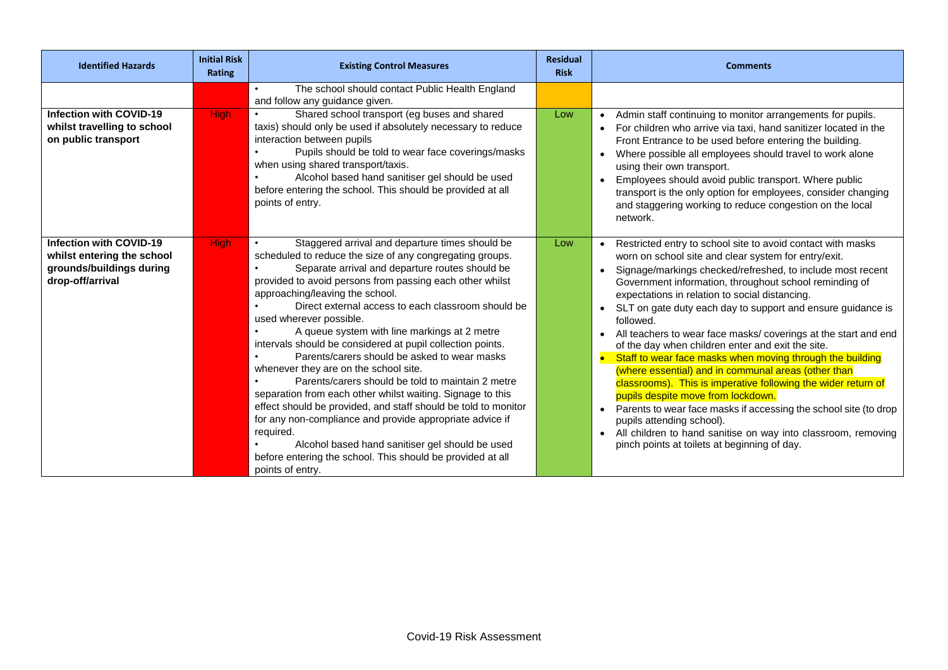| <b>Identified Hazards</b>                                                                                    | <b>Initial Risk</b><br>Rating | <b>Existing Control Measures</b>                                                                                                                                                                                                                                                                                                                                                                                                                                                                                                                                                                                                                                                                                                                                                                                                                                                                                                                         | <b>Residual</b><br><b>Risk</b> | <b>Comments</b>                                                                                                                                                                                                                                                                                                                                                                                                                                                                                                                                                                                                                                                                                                                                                                                                                                                                                                                                            |
|--------------------------------------------------------------------------------------------------------------|-------------------------------|----------------------------------------------------------------------------------------------------------------------------------------------------------------------------------------------------------------------------------------------------------------------------------------------------------------------------------------------------------------------------------------------------------------------------------------------------------------------------------------------------------------------------------------------------------------------------------------------------------------------------------------------------------------------------------------------------------------------------------------------------------------------------------------------------------------------------------------------------------------------------------------------------------------------------------------------------------|--------------------------------|------------------------------------------------------------------------------------------------------------------------------------------------------------------------------------------------------------------------------------------------------------------------------------------------------------------------------------------------------------------------------------------------------------------------------------------------------------------------------------------------------------------------------------------------------------------------------------------------------------------------------------------------------------------------------------------------------------------------------------------------------------------------------------------------------------------------------------------------------------------------------------------------------------------------------------------------------------|
| <b>Infection with COVID-19</b><br>whilst travelling to school<br>on public transport                         | <b>High</b>                   | The school should contact Public Health England<br>and follow any guidance given.<br>Shared school transport (eg buses and shared<br>taxis) should only be used if absolutely necessary to reduce<br>interaction between pupils<br>Pupils should be told to wear face coverings/masks<br>when using shared transport/taxis.<br>Alcohol based hand sanitiser gel should be used<br>before entering the school. This should be provided at all<br>points of entry.                                                                                                                                                                                                                                                                                                                                                                                                                                                                                         | Low                            | Admin staff continuing to monitor arrangements for pupils.<br>$\bullet$<br>For children who arrive via taxi, hand sanitizer located in the<br>Front Entrance to be used before entering the building.<br>Where possible all employees should travel to work alone<br>using their own transport.<br>Employees should avoid public transport. Where public<br>transport is the only option for employees, consider changing<br>and staggering working to reduce congestion on the local<br>network.                                                                                                                                                                                                                                                                                                                                                                                                                                                          |
| <b>Infection with COVID-19</b><br>whilst entering the school<br>grounds/buildings during<br>drop-off/arrival | <b>High</b>                   | Staggered arrival and departure times should be<br>scheduled to reduce the size of any congregating groups.<br>Separate arrival and departure routes should be<br>provided to avoid persons from passing each other whilst<br>approaching/leaving the school.<br>Direct external access to each classroom should be<br>used wherever possible.<br>A queue system with line markings at 2 metre<br>intervals should be considered at pupil collection points.<br>Parents/carers should be asked to wear masks<br>whenever they are on the school site.<br>Parents/carers should be told to maintain 2 metre<br>separation from each other whilst waiting. Signage to this<br>effect should be provided, and staff should be told to monitor<br>for any non-compliance and provide appropriate advice if<br>required.<br>Alcohol based hand sanitiser gel should be used<br>before entering the school. This should be provided at all<br>points of entry. | Low                            | Restricted entry to school site to avoid contact with masks<br>worn on school site and clear system for entry/exit.<br>Signage/markings checked/refreshed, to include most recent<br>Government information, throughout school reminding of<br>expectations in relation to social distancing.<br>SLT on gate duty each day to support and ensure guidance is<br>followed.<br>All teachers to wear face masks/coverings at the start and end<br>of the day when children enter and exit the site.<br>Staff to wear face masks when moving through the building<br>$\bullet$<br>(where essential) and in communal areas (other than<br>classrooms). This is imperative following the wider return of<br>pupils despite move from lockdown.<br>Parents to wear face masks if accessing the school site (to drop<br>pupils attending school).<br>All children to hand sanitise on way into classroom, removing<br>pinch points at toilets at beginning of day. |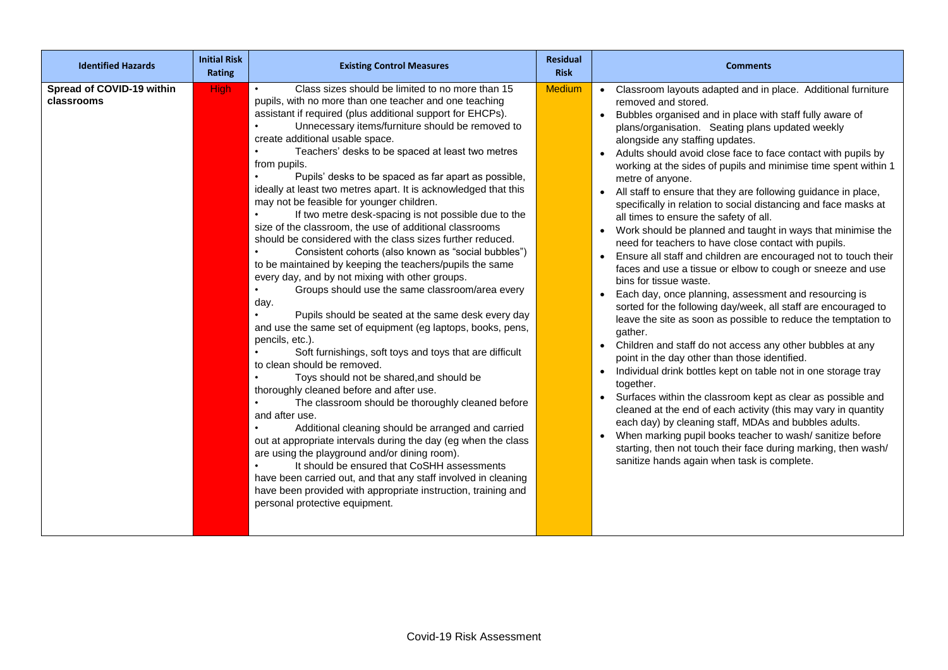| <b>Identified Hazards</b>               | <b>Initial Risk</b><br><b>Rating</b> | <b>Existing Control Measures</b>                                                                                                                                                                                                                                                                                                                                                                                                                                                                                                                                                                                                                                                                                                                                                                                                                                                                                                                                                                                                                                                                                                                                                                                                                                                                                                                                                                                                                                                                                                                                                                                                                                                                                            | <b>Residual</b><br><b>Risk</b> | <b>Comments</b>                                                                                                                                                                                                                                                                                                                                                                                                                                                                                                                                                                                                                                                                                                                                                                                                                                                                                                                                                                                                                                                                                                                                                                                                                                                                                                                                                                                                                                                                                                                                                                                                                                                            |
|-----------------------------------------|--------------------------------------|-----------------------------------------------------------------------------------------------------------------------------------------------------------------------------------------------------------------------------------------------------------------------------------------------------------------------------------------------------------------------------------------------------------------------------------------------------------------------------------------------------------------------------------------------------------------------------------------------------------------------------------------------------------------------------------------------------------------------------------------------------------------------------------------------------------------------------------------------------------------------------------------------------------------------------------------------------------------------------------------------------------------------------------------------------------------------------------------------------------------------------------------------------------------------------------------------------------------------------------------------------------------------------------------------------------------------------------------------------------------------------------------------------------------------------------------------------------------------------------------------------------------------------------------------------------------------------------------------------------------------------------------------------------------------------------------------------------------------------|--------------------------------|----------------------------------------------------------------------------------------------------------------------------------------------------------------------------------------------------------------------------------------------------------------------------------------------------------------------------------------------------------------------------------------------------------------------------------------------------------------------------------------------------------------------------------------------------------------------------------------------------------------------------------------------------------------------------------------------------------------------------------------------------------------------------------------------------------------------------------------------------------------------------------------------------------------------------------------------------------------------------------------------------------------------------------------------------------------------------------------------------------------------------------------------------------------------------------------------------------------------------------------------------------------------------------------------------------------------------------------------------------------------------------------------------------------------------------------------------------------------------------------------------------------------------------------------------------------------------------------------------------------------------------------------------------------------------|
| Spread of COVID-19 within<br>classrooms | <b>High</b>                          | Class sizes should be limited to no more than 15<br>pupils, with no more than one teacher and one teaching<br>assistant if required (plus additional support for EHCPs).<br>Unnecessary items/furniture should be removed to<br>create additional usable space.<br>Teachers' desks to be spaced at least two metres<br>from pupils.<br>Pupils' desks to be spaced as far apart as possible,<br>ideally at least two metres apart. It is acknowledged that this<br>may not be feasible for younger children.<br>If two metre desk-spacing is not possible due to the<br>size of the classroom, the use of additional classrooms<br>should be considered with the class sizes further reduced.<br>Consistent cohorts (also known as "social bubbles")<br>to be maintained by keeping the teachers/pupils the same<br>every day, and by not mixing with other groups.<br>Groups should use the same classroom/area every<br>day.<br>Pupils should be seated at the same desk every day<br>and use the same set of equipment (eg laptops, books, pens,<br>pencils, etc.).<br>Soft furnishings, soft toys and toys that are difficult<br>to clean should be removed.<br>Toys should not be shared, and should be<br>thoroughly cleaned before and after use.<br>The classroom should be thoroughly cleaned before<br>and after use.<br>Additional cleaning should be arranged and carried<br>out at appropriate intervals during the day (eg when the class<br>are using the playground and/or dining room).<br>It should be ensured that CoSHH assessments<br>have been carried out, and that any staff involved in cleaning<br>have been provided with appropriate instruction, training and<br>personal protective equipment. | <b>Medium</b>                  | • Classroom layouts adapted and in place. Additional furniture<br>removed and stored.<br>Bubbles organised and in place with staff fully aware of<br>plans/organisation. Seating plans updated weekly<br>alongside any staffing updates.<br>Adults should avoid close face to face contact with pupils by<br>working at the sides of pupils and minimise time spent within 1<br>metre of anyone.<br>All staff to ensure that they are following guidance in place,<br>$\bullet$<br>specifically in relation to social distancing and face masks at<br>all times to ensure the safety of all.<br>Work should be planned and taught in ways that minimise the<br>need for teachers to have close contact with pupils.<br>Ensure all staff and children are encouraged not to touch their<br>faces and use a tissue or elbow to cough or sneeze and use<br>bins for tissue waste.<br>Each day, once planning, assessment and resourcing is<br>sorted for the following day/week, all staff are encouraged to<br>leave the site as soon as possible to reduce the temptation to<br>gather.<br>• Children and staff do not access any other bubbles at any<br>point in the day other than those identified.<br>Individual drink bottles kept on table not in one storage tray<br>$\bullet$<br>together.<br>Surfaces within the classroom kept as clear as possible and<br>cleaned at the end of each activity (this may vary in quantity<br>each day) by cleaning staff, MDAs and bubbles adults.<br>When marking pupil books teacher to wash/ sanitize before<br>starting, then not touch their face during marking, then wash/<br>sanitize hands again when task is complete. |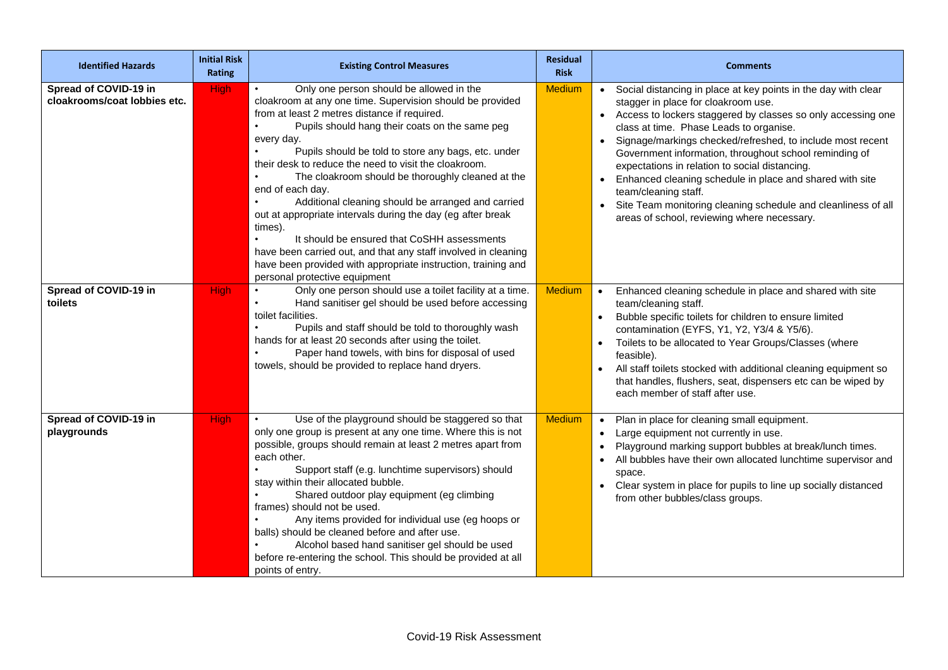| <b>Identified Hazards</b>                             | <b>Initial Risk</b><br>Rating | <b>Existing Control Measures</b>                                                                                                                                                                                                                                                                                                                                                                                                                                                                                                                                                                                                                                                                                                                                                                                      | <b>Residual</b><br><b>Risk</b> | <b>Comments</b>                                                                                                                                                                                                                                                                                                                                                                                                                                                                                                                                                                                                 |
|-------------------------------------------------------|-------------------------------|-----------------------------------------------------------------------------------------------------------------------------------------------------------------------------------------------------------------------------------------------------------------------------------------------------------------------------------------------------------------------------------------------------------------------------------------------------------------------------------------------------------------------------------------------------------------------------------------------------------------------------------------------------------------------------------------------------------------------------------------------------------------------------------------------------------------------|--------------------------------|-----------------------------------------------------------------------------------------------------------------------------------------------------------------------------------------------------------------------------------------------------------------------------------------------------------------------------------------------------------------------------------------------------------------------------------------------------------------------------------------------------------------------------------------------------------------------------------------------------------------|
| Spread of COVID-19 in<br>cloakrooms/coat lobbies etc. | <b>High</b>                   | Only one person should be allowed in the<br>$\bullet$<br>cloakroom at any one time. Supervision should be provided<br>from at least 2 metres distance if required.<br>Pupils should hang their coats on the same peg<br>every day.<br>Pupils should be told to store any bags, etc. under<br>$\bullet$<br>their desk to reduce the need to visit the cloakroom.<br>The cloakroom should be thoroughly cleaned at the<br>end of each day.<br>Additional cleaning should be arranged and carried<br>$\bullet$<br>out at appropriate intervals during the day (eg after break<br>times).<br>It should be ensured that CoSHH assessments<br>$\bullet$<br>have been carried out, and that any staff involved in cleaning<br>have been provided with appropriate instruction, training and<br>personal protective equipment | <b>Medium</b>                  | • Social distancing in place at key points in the day with clear<br>stagger in place for cloakroom use.<br>• Access to lockers staggered by classes so only accessing one<br>class at time. Phase Leads to organise.<br>Signage/markings checked/refreshed, to include most recent<br>Government information, throughout school reminding of<br>expectations in relation to social distancing.<br>Enhanced cleaning schedule in place and shared with site<br>$\bullet$<br>team/cleaning staff.<br>Site Team monitoring cleaning schedule and cleanliness of all<br>areas of school, reviewing where necessary. |
| Spread of COVID-19 in<br>toilets                      | <b>High</b>                   | Only one person should use a toilet facility at a time.<br>Hand sanitiser gel should be used before accessing<br>$\bullet$<br>toilet facilities.<br>Pupils and staff should be told to thoroughly wash<br>$\bullet$<br>hands for at least 20 seconds after using the toilet.<br>Paper hand towels, with bins for disposal of used<br>towels, should be provided to replace hand dryers.                                                                                                                                                                                                                                                                                                                                                                                                                               | <b>Medium</b>                  | Enhanced cleaning schedule in place and shared with site<br>team/cleaning staff.<br>Bubble specific toilets for children to ensure limited<br>$\bullet$<br>contamination (EYFS, Y1, Y2, Y3/4 & Y5/6).<br>Toilets to be allocated to Year Groups/Classes (where<br>$\bullet$<br>feasible).<br>All staff toilets stocked with additional cleaning equipment so<br>that handles, flushers, seat, dispensers etc can be wiped by<br>each member of staff after use.                                                                                                                                                 |
| Spread of COVID-19 in<br>playgrounds                  | <b>High</b>                   | Use of the playground should be staggered so that<br>$\bullet$<br>only one group is present at any one time. Where this is not<br>possible, groups should remain at least 2 metres apart from<br>each other.<br>Support staff (e.g. lunchtime supervisors) should<br>stay within their allocated bubble.<br>$\bullet$<br>Shared outdoor play equipment (eg climbing<br>frames) should not be used.<br>Any items provided for individual use (eg hoops or<br>$\bullet$<br>balls) should be cleaned before and after use.<br>Alcohol based hand sanitiser gel should be used<br>$\bullet$<br>before re-entering the school. This should be provided at all<br>points of entry.                                                                                                                                          | <b>Medium</b>                  | Plan in place for cleaning small equipment.<br>$\bullet$<br>Large equipment not currently in use.<br>$\bullet$<br>Playground marking support bubbles at break/lunch times.<br>All bubbles have their own allocated lunchtime supervisor and<br>space.<br>Clear system in place for pupils to line up socially distanced<br>from other bubbles/class groups.                                                                                                                                                                                                                                                     |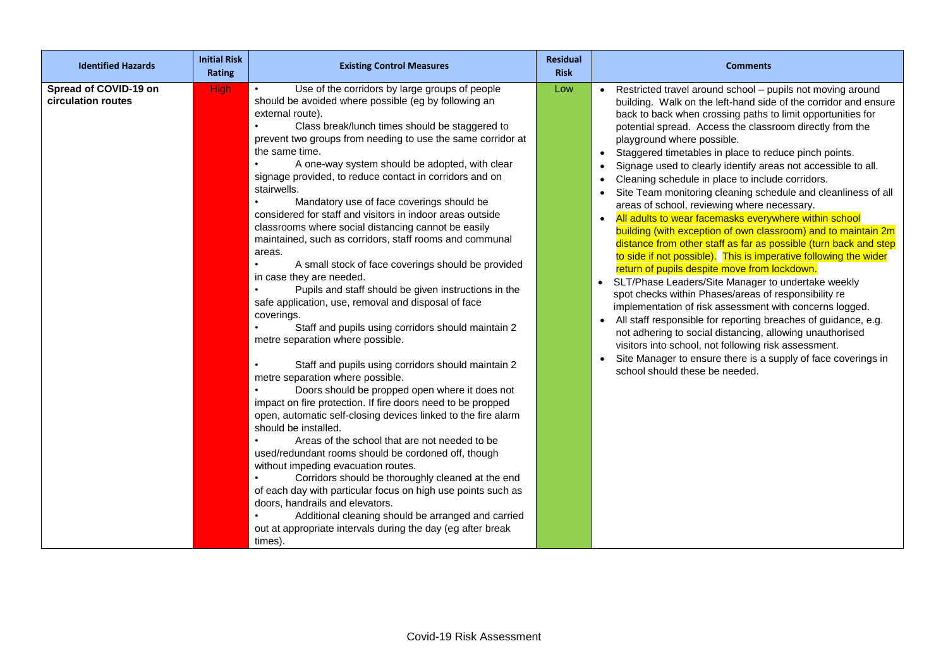| <b>Identified Hazards</b>                   | <b>Initial Risk</b><br>Rating | <b>Existing Control Measures</b>                                                                                                                                                                                                                                                                                                                                                                                                                                                                                                                                                                                                                                                                                                                                                                                                                                                                                                                                                                                                                                                                                                                                                                                                                                                                                                                                                                                                                                                                                                                                                                                                                                                                 | <b>Residual</b><br><b>Risk</b> | <b>Comments</b>                                                                                                                                                                                                                                                                                                                                                                                                                                                                                                                                                                                                                                                                                                                                                                                                                                                                                                                                                                                                                                                                                                                                                                                                                                                                                                                                                              |
|---------------------------------------------|-------------------------------|--------------------------------------------------------------------------------------------------------------------------------------------------------------------------------------------------------------------------------------------------------------------------------------------------------------------------------------------------------------------------------------------------------------------------------------------------------------------------------------------------------------------------------------------------------------------------------------------------------------------------------------------------------------------------------------------------------------------------------------------------------------------------------------------------------------------------------------------------------------------------------------------------------------------------------------------------------------------------------------------------------------------------------------------------------------------------------------------------------------------------------------------------------------------------------------------------------------------------------------------------------------------------------------------------------------------------------------------------------------------------------------------------------------------------------------------------------------------------------------------------------------------------------------------------------------------------------------------------------------------------------------------------------------------------------------------------|--------------------------------|------------------------------------------------------------------------------------------------------------------------------------------------------------------------------------------------------------------------------------------------------------------------------------------------------------------------------------------------------------------------------------------------------------------------------------------------------------------------------------------------------------------------------------------------------------------------------------------------------------------------------------------------------------------------------------------------------------------------------------------------------------------------------------------------------------------------------------------------------------------------------------------------------------------------------------------------------------------------------------------------------------------------------------------------------------------------------------------------------------------------------------------------------------------------------------------------------------------------------------------------------------------------------------------------------------------------------------------------------------------------------|
| Spread of COVID-19 on<br>circulation routes | <b>High</b>                   | Use of the corridors by large groups of people<br>$\bullet$<br>should be avoided where possible (eg by following an<br>external route).<br>Class break/lunch times should be staggered to<br>prevent two groups from needing to use the same corridor at<br>the same time.<br>A one-way system should be adopted, with clear<br>signage provided, to reduce contact in corridors and on<br>stairwells.<br>Mandatory use of face coverings should be<br>considered for staff and visitors in indoor areas outside<br>classrooms where social distancing cannot be easily<br>maintained, such as corridors, staff rooms and communal<br>areas.<br>A small stock of face coverings should be provided<br>in case they are needed.<br>Pupils and staff should be given instructions in the<br>safe application, use, removal and disposal of face<br>coverings.<br>Staff and pupils using corridors should maintain 2<br>metre separation where possible.<br>Staff and pupils using corridors should maintain 2<br>metre separation where possible.<br>Doors should be propped open where it does not<br>impact on fire protection. If fire doors need to be propped<br>open, automatic self-closing devices linked to the fire alarm<br>should be installed.<br>Areas of the school that are not needed to be<br>used/redundant rooms should be cordoned off, though<br>without impeding evacuation routes.<br>Corridors should be thoroughly cleaned at the end<br>of each day with particular focus on high use points such as<br>doors, handrails and elevators.<br>Additional cleaning should be arranged and carried<br>out at appropriate intervals during the day (eg after break<br>times). | Low                            | • Restricted travel around school - pupils not moving around<br>building. Walk on the left-hand side of the corridor and ensure<br>back to back when crossing paths to limit opportunities for<br>potential spread. Access the classroom directly from the<br>playground where possible.<br>Staggered timetables in place to reduce pinch points.<br>Signage used to clearly identify areas not accessible to all.<br>Cleaning schedule in place to include corridors.<br>Site Team monitoring cleaning schedule and cleanliness of all<br>areas of school, reviewing where necessary.<br>• All adults to wear facemasks everywhere within school<br>building (with exception of own classroom) and to maintain 2m<br>distance from other staff as far as possible (turn back and step<br>to side if not possible). This is imperative following the wider<br>return of pupils despite move from lockdown.<br>SLT/Phase Leaders/Site Manager to undertake weekly<br>spot checks within Phases/areas of responsibility re<br>implementation of risk assessment with concerns logged.<br>All staff responsible for reporting breaches of guidance, e.g.<br>not adhering to social distancing, allowing unauthorised<br>visitors into school, not following risk assessment.<br>Site Manager to ensure there is a supply of face coverings in<br>school should these be needed. |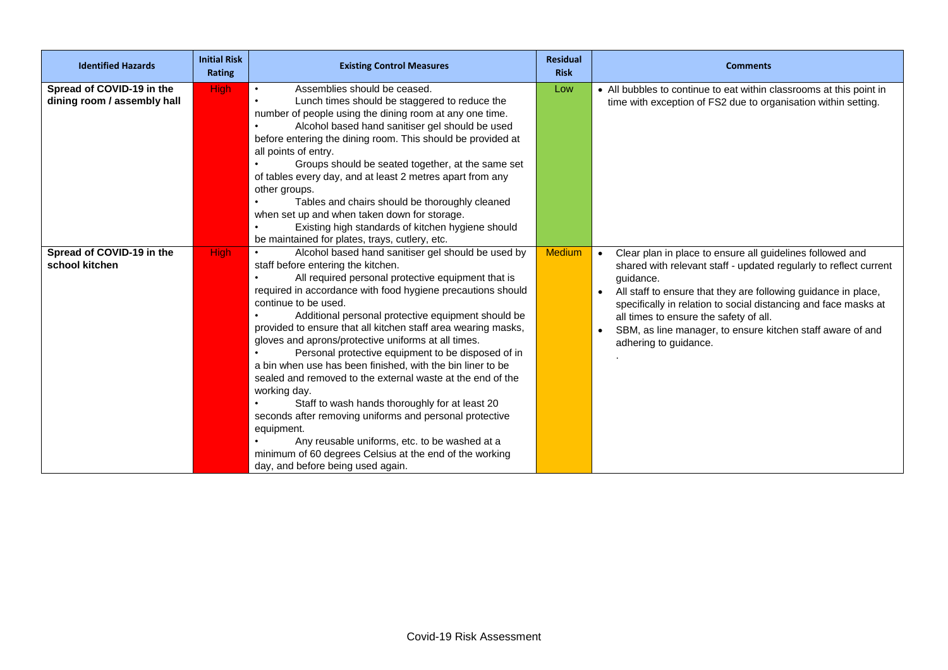| <b>Identified Hazards</b>                                | <b>Initial Risk</b><br><b>Rating</b> | <b>Existing Control Measures</b>                                                                                                                                                                                                                                                                                                                                                                                                                                                                                                                                                                                                                                                                                                                                                                                                                                                                               | <b>Residual</b><br><b>Risk</b> | <b>Comments</b>                                                                                                                                                                                                                                                                                                                                                                                                   |
|----------------------------------------------------------|--------------------------------------|----------------------------------------------------------------------------------------------------------------------------------------------------------------------------------------------------------------------------------------------------------------------------------------------------------------------------------------------------------------------------------------------------------------------------------------------------------------------------------------------------------------------------------------------------------------------------------------------------------------------------------------------------------------------------------------------------------------------------------------------------------------------------------------------------------------------------------------------------------------------------------------------------------------|--------------------------------|-------------------------------------------------------------------------------------------------------------------------------------------------------------------------------------------------------------------------------------------------------------------------------------------------------------------------------------------------------------------------------------------------------------------|
| Spread of COVID-19 in the<br>dining room / assembly hall | <b>High</b>                          | Assemblies should be ceased.<br>$\bullet$<br>Lunch times should be staggered to reduce the<br>$\bullet$<br>number of people using the dining room at any one time.<br>Alcohol based hand sanitiser gel should be used<br>before entering the dining room. This should be provided at<br>all points of entry.<br>Groups should be seated together, at the same set<br>of tables every day, and at least 2 metres apart from any<br>other groups.<br>Tables and chairs should be thoroughly cleaned<br>when set up and when taken down for storage.<br>Existing high standards of kitchen hygiene should<br>be maintained for plates, trays, cutlery, etc.                                                                                                                                                                                                                                                       | Low                            | • All bubbles to continue to eat within classrooms at this point in<br>time with exception of FS2 due to organisation within setting.                                                                                                                                                                                                                                                                             |
| Spread of COVID-19 in the<br>school kitchen              | <b>High</b>                          | Alcohol based hand sanitiser gel should be used by<br>$\bullet$<br>staff before entering the kitchen.<br>All required personal protective equipment that is<br>required in accordance with food hygiene precautions should<br>continue to be used.<br>Additional personal protective equipment should be<br>provided to ensure that all kitchen staff area wearing masks,<br>gloves and aprons/protective uniforms at all times.<br>Personal protective equipment to be disposed of in<br>a bin when use has been finished, with the bin liner to be<br>sealed and removed to the external waste at the end of the<br>working day.<br>Staff to wash hands thoroughly for at least 20<br>seconds after removing uniforms and personal protective<br>equipment.<br>Any reusable uniforms, etc. to be washed at a<br>minimum of 60 degrees Celsius at the end of the working<br>day, and before being used again. | <b>Medium</b>                  | Clear plan in place to ensure all guidelines followed and<br>shared with relevant staff - updated regularly to reflect current<br>quidance.<br>All staff to ensure that they are following guidance in place,<br>specifically in relation to social distancing and face masks at<br>all times to ensure the safety of all.<br>SBM, as line manager, to ensure kitchen staff aware of and<br>adhering to guidance. |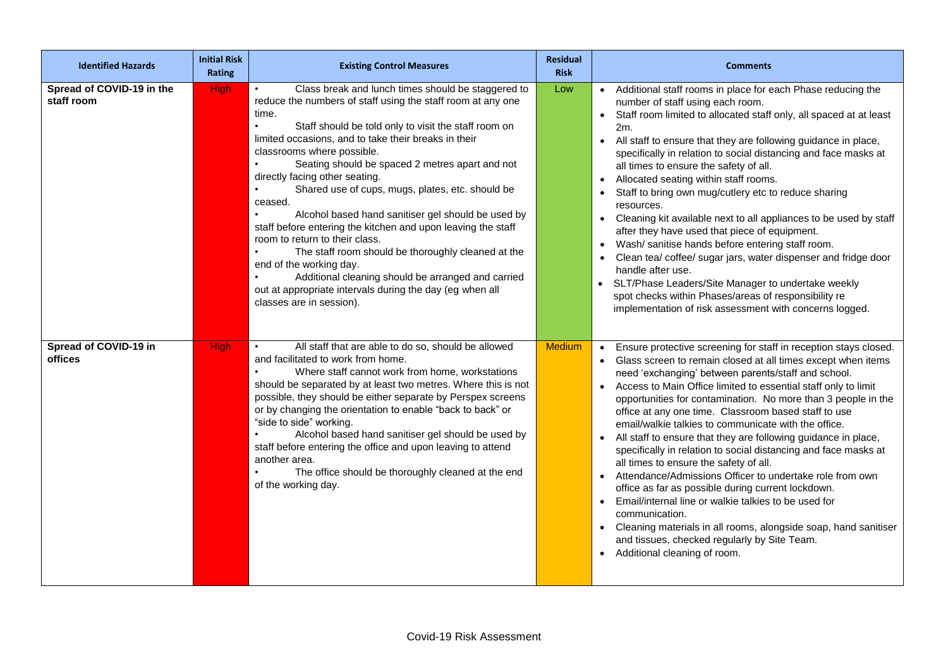| <b>Identified Hazards</b>               | <b>Initial Risk</b><br><b>Rating</b> | <b>Existing Control Measures</b>                                                                                                                                                                                                                                                                                                                                                                                                                                                                                                                                                                                                                                                                                                                                                                                                                                        | <b>Residual</b><br><b>Risk</b> | <b>Comments</b>                                                                                                                                                                                                                                                                                                                                                                                                                                                                                                                                                                                                                                                                                                                                                                                                                                                                                                                                                                                    |
|-----------------------------------------|--------------------------------------|-------------------------------------------------------------------------------------------------------------------------------------------------------------------------------------------------------------------------------------------------------------------------------------------------------------------------------------------------------------------------------------------------------------------------------------------------------------------------------------------------------------------------------------------------------------------------------------------------------------------------------------------------------------------------------------------------------------------------------------------------------------------------------------------------------------------------------------------------------------------------|--------------------------------|----------------------------------------------------------------------------------------------------------------------------------------------------------------------------------------------------------------------------------------------------------------------------------------------------------------------------------------------------------------------------------------------------------------------------------------------------------------------------------------------------------------------------------------------------------------------------------------------------------------------------------------------------------------------------------------------------------------------------------------------------------------------------------------------------------------------------------------------------------------------------------------------------------------------------------------------------------------------------------------------------|
| Spread of COVID-19 in the<br>staff room | <b>High</b>                          | Class break and lunch times should be staggered to<br>$\bullet$<br>reduce the numbers of staff using the staff room at any one<br>time.<br>$\bullet$<br>Staff should be told only to visit the staff room on<br>limited occasions, and to take their breaks in their<br>classrooms where possible.<br>Seating should be spaced 2 metres apart and not<br>directly facing other seating.<br>Shared use of cups, mugs, plates, etc. should be<br>$\bullet$<br>ceased.<br>Alcohol based hand sanitiser gel should be used by<br>staff before entering the kitchen and upon leaving the staff<br>room to return to their class.<br>The staff room should be thoroughly cleaned at the<br>end of the working day.<br>Additional cleaning should be arranged and carried<br>$\bullet$<br>out at appropriate intervals during the day (eg when all<br>classes are in session). | Low                            | • Additional staff rooms in place for each Phase reducing the<br>number of staff using each room.<br>Staff room limited to allocated staff only, all spaced at at least<br>$\bullet$<br>2m.<br>All staff to ensure that they are following guidance in place,<br>specifically in relation to social distancing and face masks at<br>all times to ensure the safety of all.<br>Allocated seating within staff rooms.<br>$\bullet$<br>Staff to bring own mug/cutlery etc to reduce sharing<br>resources.<br>Cleaning kit available next to all appliances to be used by staff<br>$\bullet$<br>after they have used that piece of equipment.<br>Wash/ sanitise hands before entering staff room.<br>$\bullet$<br>Clean tea/ coffee/ sugar jars, water dispenser and fridge door<br>handle after use.<br>• SLT/Phase Leaders/Site Manager to undertake weekly<br>spot checks within Phases/areas of responsibility re<br>implementation of risk assessment with concerns logged.                       |
| Spread of COVID-19 in<br>offices        | <b>High</b>                          | All staff that are able to do so, should be allowed<br>and facilitated to work from home.<br>Where staff cannot work from home, workstations<br>should be separated by at least two metres. Where this is not<br>possible, they should be either separate by Perspex screens<br>or by changing the orientation to enable "back to back" or<br>"side to side" working.<br>Alcohol based hand sanitiser gel should be used by<br>staff before entering the office and upon leaving to attend<br>another area.<br>The office should be thoroughly cleaned at the end<br>of the working day.                                                                                                                                                                                                                                                                                | <b>Medium</b>                  | Ensure protective screening for staff in reception stays closed.<br>Glass screen to remain closed at all times except when items<br>need 'exchanging' between parents/staff and school.<br>Access to Main Office limited to essential staff only to limit<br>opportunities for contamination. No more than 3 people in the<br>office at any one time. Classroom based staff to use<br>email/walkie talkies to communicate with the office.<br>All staff to ensure that they are following guidance in place,<br>specifically in relation to social distancing and face masks at<br>all times to ensure the safety of all.<br>Attendance/Admissions Officer to undertake role from own<br>office as far as possible during current lockdown.<br>Email/internal line or walkie talkies to be used for<br>communication.<br>Cleaning materials in all rooms, alongside soap, hand sanitiser<br>$\bullet$<br>and tissues, checked regularly by Site Team.<br>Additional cleaning of room.<br>$\bullet$ |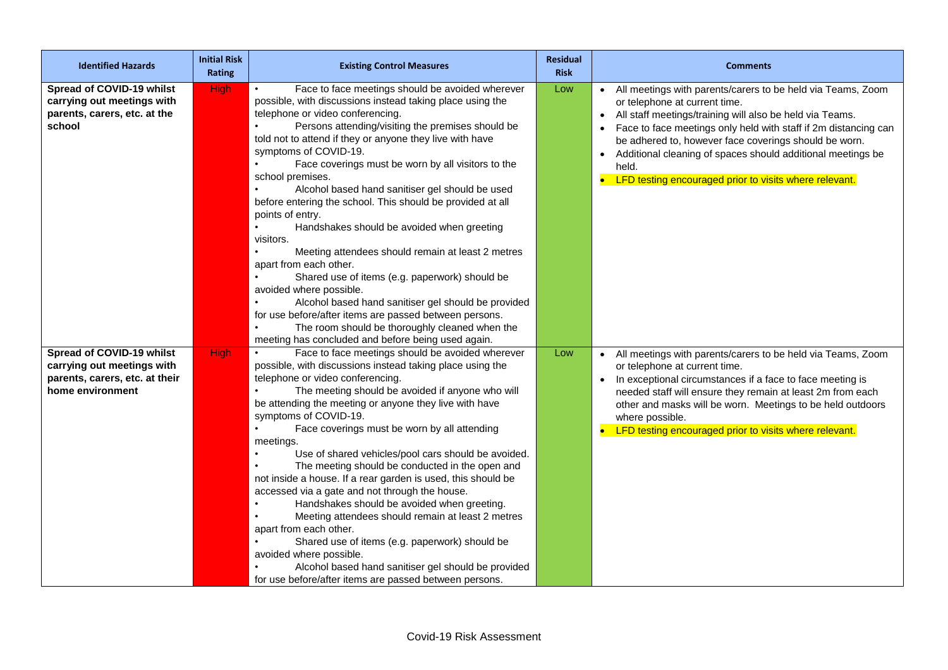| <b>Identified Hazards</b>                                                                                     | <b>Initial Risk</b><br>Rating | <b>Existing Control Measures</b>                                                                                                                                                                                                                                                                                                                                                                                                                                                                                                                                                                                                                                                                                                                                                                                                                                                                                                                                        | <b>Residual</b><br><b>Risk</b> | <b>Comments</b>                                                                                                                                                                                                                                                                                                                                                                                                                                                 |
|---------------------------------------------------------------------------------------------------------------|-------------------------------|-------------------------------------------------------------------------------------------------------------------------------------------------------------------------------------------------------------------------------------------------------------------------------------------------------------------------------------------------------------------------------------------------------------------------------------------------------------------------------------------------------------------------------------------------------------------------------------------------------------------------------------------------------------------------------------------------------------------------------------------------------------------------------------------------------------------------------------------------------------------------------------------------------------------------------------------------------------------------|--------------------------------|-----------------------------------------------------------------------------------------------------------------------------------------------------------------------------------------------------------------------------------------------------------------------------------------------------------------------------------------------------------------------------------------------------------------------------------------------------------------|
| Spread of COVID-19 whilst<br>carrying out meetings with<br>parents, carers, etc. at the<br>school             | <b>High</b>                   | Face to face meetings should be avoided wherever<br>$\bullet$<br>possible, with discussions instead taking place using the<br>telephone or video conferencing.<br>Persons attending/visiting the premises should be<br>told not to attend if they or anyone they live with have<br>symptoms of COVID-19.<br>Face coverings must be worn by all visitors to the<br>school premises.<br>Alcohol based hand sanitiser gel should be used<br>before entering the school. This should be provided at all<br>points of entry.<br>Handshakes should be avoided when greeting<br>visitors.<br>Meeting attendees should remain at least 2 metres<br>apart from each other.<br>Shared use of items (e.g. paperwork) should be<br>avoided where possible.<br>Alcohol based hand sanitiser gel should be provided<br>for use before/after items are passed between persons.<br>The room should be thoroughly cleaned when the<br>meeting has concluded and before being used again. | Low                            | • All meetings with parents/carers to be held via Teams, Zoom<br>or telephone at current time.<br>All staff meetings/training will also be held via Teams.<br>$\bullet$<br>Face to face meetings only held with staff if 2m distancing can<br>be adhered to, however face coverings should be worn.<br>Additional cleaning of spaces should additional meetings be<br>$\bullet$<br>held.<br>LFD testing encouraged prior to visits where relevant.<br>$\bullet$ |
| Spread of COVID-19 whilst<br>carrying out meetings with<br>parents, carers, etc. at their<br>home environment | <b>High</b>                   | Face to face meetings should be avoided wherever<br>possible, with discussions instead taking place using the<br>telephone or video conferencing.<br>The meeting should be avoided if anyone who will<br>be attending the meeting or anyone they live with have<br>symptoms of COVID-19.<br>Face coverings must be worn by all attending<br>meetings.<br>Use of shared vehicles/pool cars should be avoided.<br>The meeting should be conducted in the open and<br>not inside a house. If a rear garden is used, this should be<br>accessed via a gate and not through the house.<br>Handshakes should be avoided when greeting.<br>Meeting attendees should remain at least 2 metres<br>apart from each other.<br>Shared use of items (e.g. paperwork) should be<br>avoided where possible.<br>Alcohol based hand sanitiser gel should be provided<br>for use before/after items are passed between persons.                                                           | Low                            | All meetings with parents/carers to be held via Teams, Zoom<br>or telephone at current time.<br>In exceptional circumstances if a face to face meeting is<br>needed staff will ensure they remain at least 2m from each<br>other and masks will be worn. Meetings to be held outdoors<br>where possible.<br>LFD testing encouraged prior to visits where relevant.                                                                                              |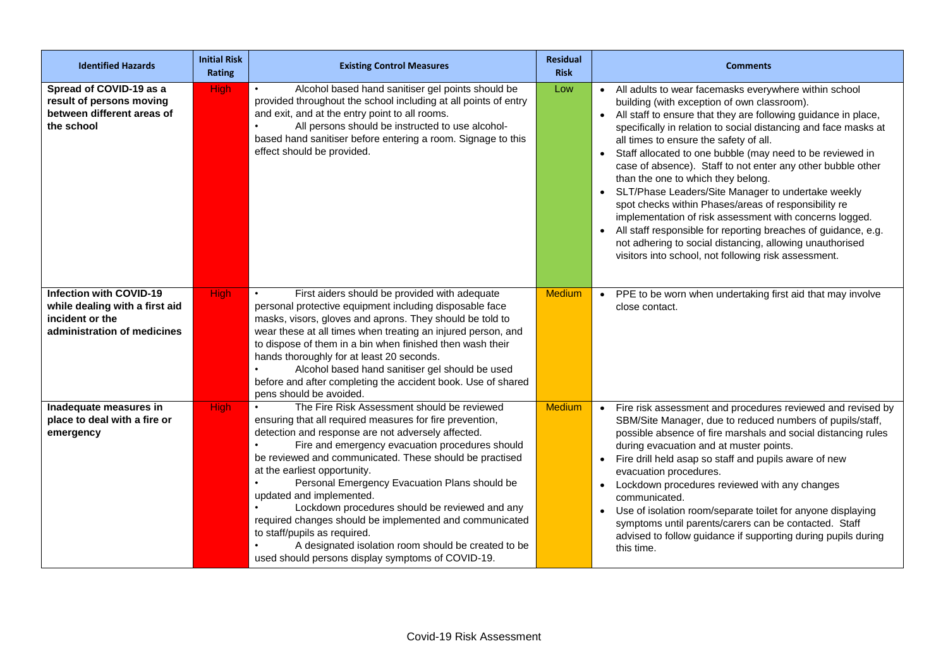| <b>Identified Hazards</b>                                                                                          | <b>Initial Risk</b><br>Rating | <b>Existing Control Measures</b>                                                                                                                                                                                                                                                                                                                                                                                                                                                                                                                                                                                                                  | <b>Residual</b><br><b>Risk</b> | <b>Comments</b>                                                                                                                                                                                                                                                                                                                                                                                                                                                                                                                                                                                                                                                                                                                                                                                                                     |
|--------------------------------------------------------------------------------------------------------------------|-------------------------------|---------------------------------------------------------------------------------------------------------------------------------------------------------------------------------------------------------------------------------------------------------------------------------------------------------------------------------------------------------------------------------------------------------------------------------------------------------------------------------------------------------------------------------------------------------------------------------------------------------------------------------------------------|--------------------------------|-------------------------------------------------------------------------------------------------------------------------------------------------------------------------------------------------------------------------------------------------------------------------------------------------------------------------------------------------------------------------------------------------------------------------------------------------------------------------------------------------------------------------------------------------------------------------------------------------------------------------------------------------------------------------------------------------------------------------------------------------------------------------------------------------------------------------------------|
| Spread of COVID-19 as a<br>result of persons moving<br>between different areas of<br>the school                    | <b>High</b>                   | Alcohol based hand sanitiser gel points should be<br>provided throughout the school including at all points of entry<br>and exit, and at the entry point to all rooms.<br>All persons should be instructed to use alcohol-<br>based hand sanitiser before entering a room. Signage to this<br>effect should be provided.                                                                                                                                                                                                                                                                                                                          | Low                            | All adults to wear facemasks everywhere within school<br>building (with exception of own classroom).<br>• All staff to ensure that they are following guidance in place,<br>specifically in relation to social distancing and face masks at<br>all times to ensure the safety of all.<br>Staff allocated to one bubble (may need to be reviewed in<br>case of absence). Staff to not enter any other bubble other<br>than the one to which they belong.<br>SLT/Phase Leaders/Site Manager to undertake weekly<br>$\bullet$<br>spot checks within Phases/areas of responsibility re<br>implementation of risk assessment with concerns logged.<br>All staff responsible for reporting breaches of guidance, e.g.<br>not adhering to social distancing, allowing unauthorised<br>visitors into school, not following risk assessment. |
| <b>Infection with COVID-19</b><br>while dealing with a first aid<br>incident or the<br>administration of medicines | <b>High</b>                   | First aiders should be provided with adequate<br>personal protective equipment including disposable face<br>masks, visors, gloves and aprons. They should be told to<br>wear these at all times when treating an injured person, and<br>to dispose of them in a bin when finished then wash their<br>hands thoroughly for at least 20 seconds.<br>Alcohol based hand sanitiser gel should be used<br>before and after completing the accident book. Use of shared<br>pens should be avoided.                                                                                                                                                      | <b>Medium</b>                  | • PPE to be worn when undertaking first aid that may involve<br>close contact.                                                                                                                                                                                                                                                                                                                                                                                                                                                                                                                                                                                                                                                                                                                                                      |
| Inadequate measures in<br>place to deal with a fire or<br>emergency                                                | <b>High</b>                   | The Fire Risk Assessment should be reviewed<br>ensuring that all required measures for fire prevention,<br>detection and response are not adversely affected.<br>Fire and emergency evacuation procedures should<br>be reviewed and communicated. These should be practised<br>at the earliest opportunity.<br>Personal Emergency Evacuation Plans should be<br>updated and implemented.<br>Lockdown procedures should be reviewed and any<br>required changes should be implemented and communicated<br>to staff/pupils as required.<br>A designated isolation room should be created to be<br>used should persons display symptoms of COVID-19. | <b>Medium</b>                  | Fire risk assessment and procedures reviewed and revised by<br>$\bullet$<br>SBM/Site Manager, due to reduced numbers of pupils/staff,<br>possible absence of fire marshals and social distancing rules<br>during evacuation and at muster points.<br>Fire drill held asap so staff and pupils aware of new<br>$\bullet$<br>evacuation procedures.<br>Lockdown procedures reviewed with any changes<br>$\bullet$<br>communicated.<br>Use of isolation room/separate toilet for anyone displaying<br>symptoms until parents/carers can be contacted. Staff<br>advised to follow guidance if supporting during pupils during<br>this time.                                                                                                                                                                                             |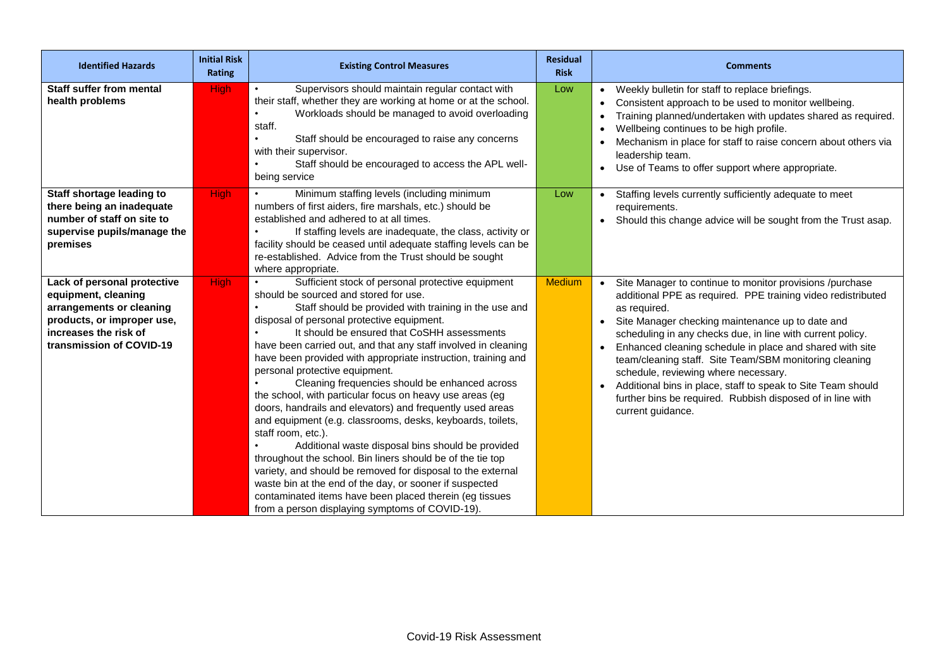| <b>Identified Hazards</b>                                                                                                                                         | <b>Initial Risk</b><br><b>Rating</b> | <b>Existing Control Measures</b>                                                                                                                                                                                                                                                                                                                                                                                                                                                                                                                                                                                                                                                                                                                                                                                                                                                                                                                                                                                                                | <b>Residual</b><br><b>Risk</b> | <b>Comments</b>                                                                                                                                                                                                                                                                                                                                                                                                                                                                                                                                                               |
|-------------------------------------------------------------------------------------------------------------------------------------------------------------------|--------------------------------------|-------------------------------------------------------------------------------------------------------------------------------------------------------------------------------------------------------------------------------------------------------------------------------------------------------------------------------------------------------------------------------------------------------------------------------------------------------------------------------------------------------------------------------------------------------------------------------------------------------------------------------------------------------------------------------------------------------------------------------------------------------------------------------------------------------------------------------------------------------------------------------------------------------------------------------------------------------------------------------------------------------------------------------------------------|--------------------------------|-------------------------------------------------------------------------------------------------------------------------------------------------------------------------------------------------------------------------------------------------------------------------------------------------------------------------------------------------------------------------------------------------------------------------------------------------------------------------------------------------------------------------------------------------------------------------------|
| Staff suffer from mental<br>health problems                                                                                                                       | <b>High</b>                          | Supervisors should maintain regular contact with<br>their staff, whether they are working at home or at the school.<br>Workloads should be managed to avoid overloading<br>staff.<br>Staff should be encouraged to raise any concerns<br>with their supervisor.<br>Staff should be encouraged to access the APL well-<br>being service                                                                                                                                                                                                                                                                                                                                                                                                                                                                                                                                                                                                                                                                                                          | Low                            | • Weekly bulletin for staff to replace briefings.<br>Consistent approach to be used to monitor wellbeing.<br>Training planned/undertaken with updates shared as required.<br>Wellbeing continues to be high profile.<br>Mechanism in place for staff to raise concern about others via<br>leadership team.<br>Use of Teams to offer support where appropriate.<br>$\bullet$                                                                                                                                                                                                   |
| Staff shortage leading to<br>there being an inadequate<br>number of staff on site to<br>supervise pupils/manage the<br>premises                                   | <b>High</b>                          | Minimum staffing levels (including minimum<br>numbers of first aiders, fire marshals, etc.) should be<br>established and adhered to at all times.<br>If staffing levels are inadequate, the class, activity or<br>facility should be ceased until adequate staffing levels can be<br>re-established. Advice from the Trust should be sought<br>where appropriate.                                                                                                                                                                                                                                                                                                                                                                                                                                                                                                                                                                                                                                                                               | Low                            | • Staffing levels currently sufficiently adequate to meet<br>requirements.<br>• Should this change advice will be sought from the Trust asap.                                                                                                                                                                                                                                                                                                                                                                                                                                 |
| Lack of personal protective<br>equipment, cleaning<br>arrangements or cleaning<br>products, or improper use,<br>increases the risk of<br>transmission of COVID-19 | High                                 | Sufficient stock of personal protective equipment<br>should be sourced and stored for use.<br>Staff should be provided with training in the use and<br>disposal of personal protective equipment.<br>It should be ensured that CoSHH assessments<br>have been carried out, and that any staff involved in cleaning<br>have been provided with appropriate instruction, training and<br>personal protective equipment.<br>Cleaning frequencies should be enhanced across<br>the school, with particular focus on heavy use areas (eg<br>doors, handrails and elevators) and frequently used areas<br>and equipment (e.g. classrooms, desks, keyboards, toilets,<br>staff room, etc.).<br>Additional waste disposal bins should be provided<br>throughout the school. Bin liners should be of the tie top<br>variety, and should be removed for disposal to the external<br>waste bin at the end of the day, or sooner if suspected<br>contaminated items have been placed therein (eg tissues<br>from a person displaying symptoms of COVID-19). | <b>Medium</b>                  | Site Manager to continue to monitor provisions /purchase<br>additional PPE as required. PPE training video redistributed<br>as required.<br>Site Manager checking maintenance up to date and<br>scheduling in any checks due, in line with current policy.<br>Enhanced cleaning schedule in place and shared with site<br>team/cleaning staff. Site Team/SBM monitoring cleaning<br>schedule, reviewing where necessary.<br>• Additional bins in place, staff to speak to Site Team should<br>further bins be required. Rubbish disposed of in line with<br>current guidance. |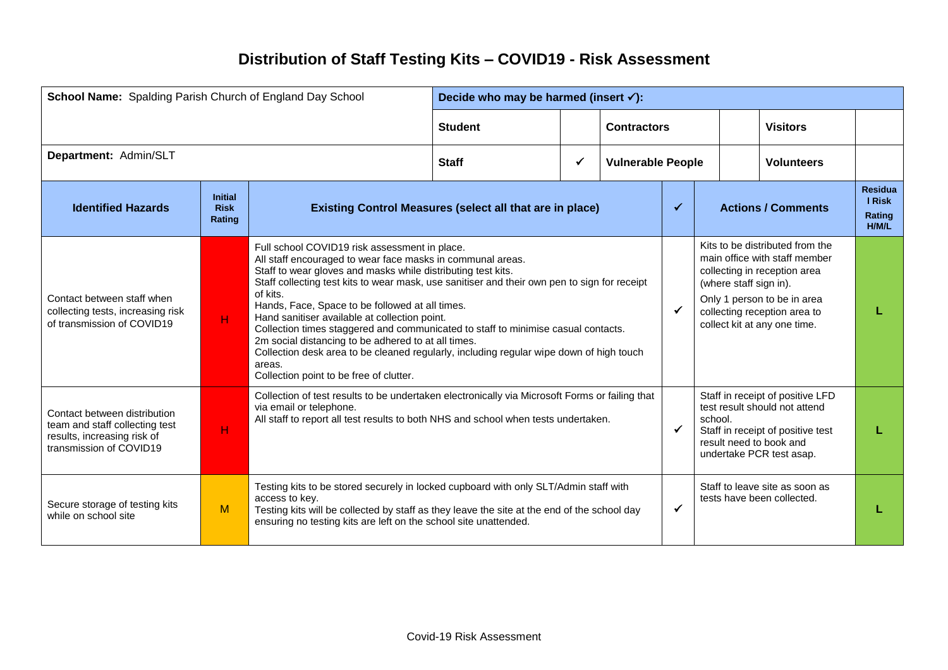## **Distribution of Staff Testing Kits – COVID19 - Risk Assessment**

| School Name: Spalding Parish Church of England Day School                                                                |                                         | Decide who may be harmed (insert $\checkmark$ ):                                                                                                                                                                                                                          |                                                                                                                                                                                                                                                                                                                                                                                                                                                                                                                                                                                                                        |              |                          |              |  |                                                                                                                                                                                          |                                                                                                                                                                                                 |                                                           |
|--------------------------------------------------------------------------------------------------------------------------|-----------------------------------------|---------------------------------------------------------------------------------------------------------------------------------------------------------------------------------------------------------------------------------------------------------------------------|------------------------------------------------------------------------------------------------------------------------------------------------------------------------------------------------------------------------------------------------------------------------------------------------------------------------------------------------------------------------------------------------------------------------------------------------------------------------------------------------------------------------------------------------------------------------------------------------------------------------|--------------|--------------------------|--------------|--|------------------------------------------------------------------------------------------------------------------------------------------------------------------------------------------|-------------------------------------------------------------------------------------------------------------------------------------------------------------------------------------------------|-----------------------------------------------------------|
|                                                                                                                          |                                         |                                                                                                                                                                                                                                                                           | <b>Student</b>                                                                                                                                                                                                                                                                                                                                                                                                                                                                                                                                                                                                         |              | <b>Contractors</b>       |              |  |                                                                                                                                                                                          | <b>Visitors</b>                                                                                                                                                                                 |                                                           |
| Department: Admin/SLT                                                                                                    |                                         |                                                                                                                                                                                                                                                                           | <b>Staff</b>                                                                                                                                                                                                                                                                                                                                                                                                                                                                                                                                                                                                           | $\checkmark$ | <b>Vulnerable People</b> |              |  |                                                                                                                                                                                          | <b>Volunteers</b>                                                                                                                                                                               |                                                           |
| <b>Identified Hazards</b>                                                                                                | <b>Initial</b><br><b>Risk</b><br>Rating |                                                                                                                                                                                                                                                                           | <b>Existing Control Measures (select all that are in place)</b>                                                                                                                                                                                                                                                                                                                                                                                                                                                                                                                                                        |              |                          |              |  |                                                                                                                                                                                          | <b>Actions / Comments</b>                                                                                                                                                                       | <b>Residua</b><br><b>I</b> Risk<br>Rating<br><b>H/M/L</b> |
| Contact between staff when<br>collecting tests, increasing risk<br>of transmission of COVID19                            | H.                                      | of kits.<br>areas.<br>Collection point to be free of clutter.                                                                                                                                                                                                             | Full school COVID19 risk assessment in place.<br>All staff encouraged to wear face masks in communal areas.<br>Staff to wear gloves and masks while distributing test kits.<br>Staff collecting test kits to wear mask, use sanitiser and their own pen to sign for receipt<br>Hands, Face, Space to be followed at all times.<br>Hand sanitiser available at collection point.<br>Collection times staggered and communicated to staff to minimise casual contacts.<br>2m social distancing to be adhered to at all times.<br>Collection desk area to be cleaned regularly, including regular wipe down of high touch |              |                          |              |  | (where staff sign in).                                                                                                                                                                   | Kits to be distributed from the<br>main office with staff member<br>collecting in reception area<br>Only 1 person to be in area<br>collecting reception area to<br>collect kit at any one time. |                                                           |
| Contact between distribution<br>team and staff collecting test<br>results, increasing risk of<br>transmission of COVID19 | н                                       | via email or telephone.                                                                                                                                                                                                                                                   | Collection of test results to be undertaken electronically via Microsoft Forms or failing that<br>All staff to report all test results to both NHS and school when tests undertaken.                                                                                                                                                                                                                                                                                                                                                                                                                                   |              |                          |              |  | Staff in receipt of positive LFD<br>test result should not attend<br>school.<br>$\checkmark$<br>Staff in receipt of positive test<br>result need to book and<br>undertake PCR test asap. |                                                                                                                                                                                                 |                                                           |
| Secure storage of testing kits<br>while on school site                                                                   | M                                       | Testing kits to be stored securely in locked cupboard with only SLT/Admin staff with<br>access to key.<br>Testing kits will be collected by staff as they leave the site at the end of the school day<br>ensuring no testing kits are left on the school site unattended. |                                                                                                                                                                                                                                                                                                                                                                                                                                                                                                                                                                                                                        |              |                          | $\checkmark$ |  |                                                                                                                                                                                          | Staff to leave site as soon as<br>tests have been collected.                                                                                                                                    |                                                           |